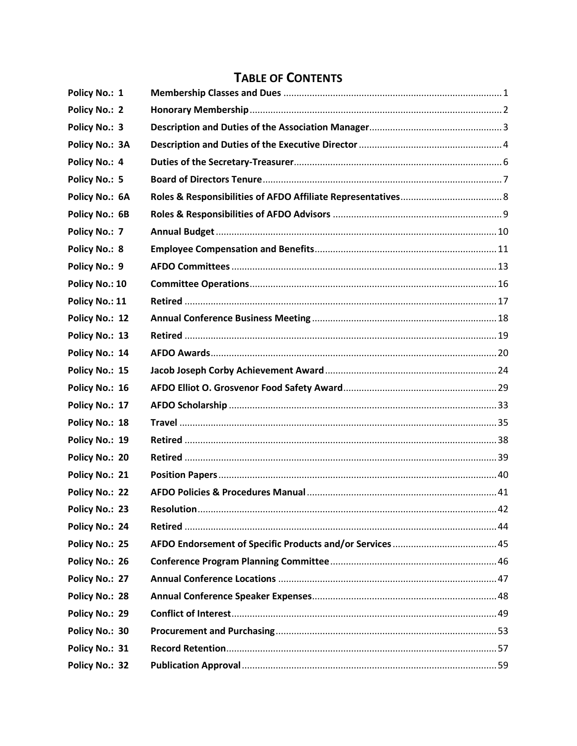| Policy No.: 1         |  |
|-----------------------|--|
| <b>Policy No.: 2</b>  |  |
| Policy No.: 3         |  |
| <b>Policy No.: 3A</b> |  |
| Policy No.: 4         |  |
| Policy No.: 5         |  |
| <b>Policy No.: 6A</b> |  |
| Policy No.: 6B        |  |
| Policy No.: 7         |  |
| <b>Policy No.: 8</b>  |  |
| Policy No.: 9         |  |
| Policy No.: 10        |  |
| Policy No.: 11        |  |
| Policy No.: 12        |  |
| Policy No.: 13        |  |
| Policy No.: 14        |  |
| Policy No.: 15        |  |
| Policy No.: 16        |  |
| Policy No.: 17        |  |
| Policy No.: 18        |  |
| Policy No.: 19        |  |
| Policy No.: 20        |  |
| Policy No.: 21        |  |
| Policy No.: 22        |  |
| Policy No.: 23        |  |
| Policy No.: 24        |  |
| Policy No.: 25        |  |
| Policy No.: 26        |  |
| Policy No.: 27        |  |
| Policy No.: 28        |  |
| Policy No.: 29        |  |
| Policy No.: 30        |  |
| Policy No.: 31        |  |
| Policy No.: 32        |  |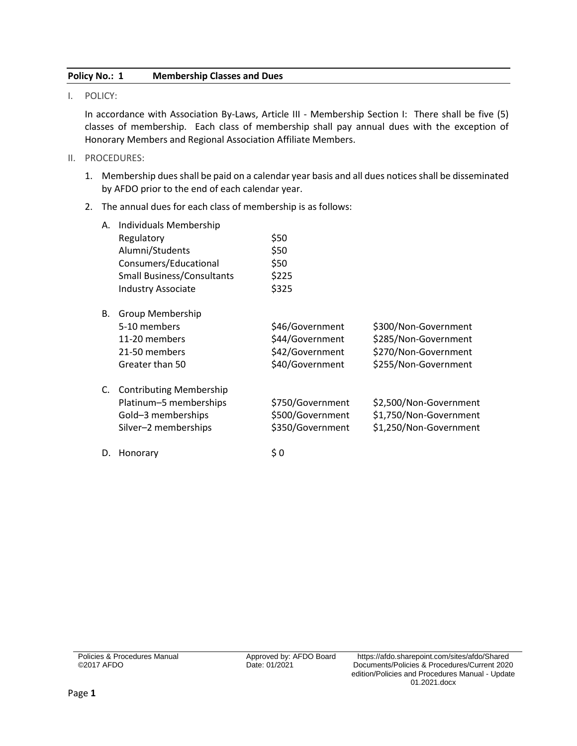### <span id="page-2-0"></span>**Policy No.: 1 Membership Classes and Dues**

I. POLICY:

In accordance with Association By-Laws, Article III - Membership Section I: There shall be five (5) classes of membership. Each class of membership shall pay annual dues with the exception of Honorary Members and Regional Association Affiliate Members.

- II. PROCEDURES:
	- 1. Membership dues shall be paid on a calendar year basis and all dues notices shall be disseminated by AFDO prior to the end of each calendar year.
	- 2. The annual dues for each class of membership is as follows:

| А. | Individuals Membership            |                  |                        |
|----|-----------------------------------|------------------|------------------------|
|    | Regulatory                        | \$50             |                        |
|    | Alumni/Students                   | \$50             |                        |
|    | Consumers/Educational             | \$50             |                        |
|    | <b>Small Business/Consultants</b> | \$225            |                        |
|    | <b>Industry Associate</b>         | \$325            |                        |
| В. | Group Membership                  |                  |                        |
|    | 5-10 members                      | \$46/Government  | \$300/Non-Government   |
|    | 11-20 members                     | \$44/Government  | \$285/Non-Government   |
|    | 21-50 members                     | \$42/Government  | \$270/Non-Government   |
|    | Greater than 50                   | \$40/Government  | \$255/Non-Government   |
| C. | <b>Contributing Membership</b>    |                  |                        |
|    | Platinum-5 memberships            | \$750/Government | \$2,500/Non-Government |
|    | Gold-3 memberships                | \$500/Government | \$1,750/Non-Government |
|    | Silver-2 memberships              | \$350/Government | \$1,250/Non-Government |
| D. | Honorary                          | \$0              |                        |

Policies & Procedures Manual ©2017 AFDO

Date: 01/2021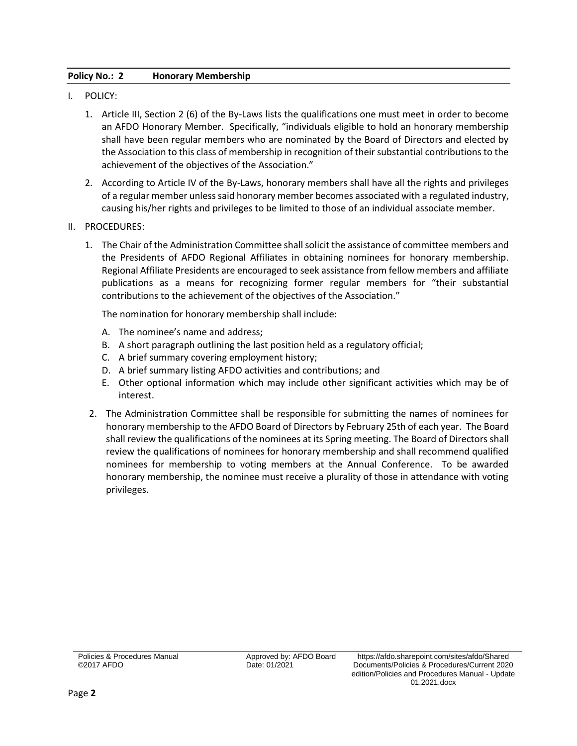# <span id="page-3-0"></span>**Policy No.: 2 Honorary Membership**

- I. POLICY:
	- 1. Article III, Section 2 (6) of the By-Laws lists the qualifications one must meet in order to become an AFDO Honorary Member. Specifically, "individuals eligible to hold an honorary membership shall have been regular members who are nominated by the Board of Directors and elected by the Association to this class of membership in recognition of their substantial contributions to the achievement of the objectives of the Association."
	- 2. According to Article IV of the By-Laws, honorary members shall have all the rights and privileges of a regular member unless said honorary member becomes associated with a regulated industry, causing his/her rights and privileges to be limited to those of an individual associate member.
- II. PROCEDURES:
	- 1. The Chair of the Administration Committee shall solicit the assistance of committee members and the Presidents of AFDO Regional Affiliates in obtaining nominees for honorary membership. Regional Affiliate Presidents are encouraged to seek assistance from fellow members and affiliate publications as a means for recognizing former regular members for "their substantial contributions to the achievement of the objectives of the Association."

The nomination for honorary membership shall include:

- A. The nominee's name and address;
- B. A short paragraph outlining the last position held as a regulatory official;
- C. A brief summary covering employment history;
- D. A brief summary listing AFDO activities and contributions; and
- E. Other optional information which may include other significant activities which may be of interest.
- 2. The Administration Committee shall be responsible for submitting the names of nominees for honorary membership to the AFDO Board of Directors by February 25th of each year. The Board shall review the qualifications of the nominees at its Spring meeting. The Board of Directors shall review the qualifications of nominees for honorary membership and shall recommend qualified nominees for membership to voting members at the Annual Conference. To be awarded honorary membership, the nominee must receive a plurality of those in attendance with voting privileges.

Policies & Procedures Manual ©2017 AFDO

Date: 01/2021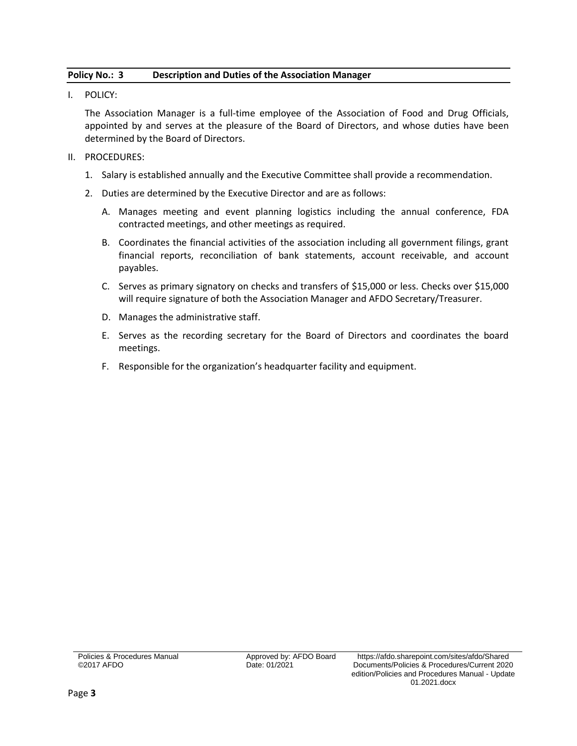# <span id="page-4-0"></span>**Policy No.: 3 Description and Duties of the Association Manager**

I. POLICY:

The Association Manager is a full-time employee of the Association of Food and Drug Officials, appointed by and serves at the pleasure of the Board of Directors, and whose duties have been determined by the Board of Directors.

- II. PROCEDURES:
	- 1. Salary is established annually and the Executive Committee shall provide a recommendation.
	- 2. Duties are determined by the Executive Director and are as follows:
		- A. Manages meeting and event planning logistics including the annual conference, FDA contracted meetings, and other meetings as required.
		- B. Coordinates the financial activities of the association including all government filings, grant financial reports, reconciliation of bank statements, account receivable, and account payables.
		- C. Serves as primary signatory on checks and transfers of \$15,000 or less. Checks over \$15,000 will require signature of both the Association Manager and AFDO Secretary/Treasurer.
		- D. Manages the administrative staff.
		- E. Serves as the recording secretary for the Board of Directors and coordinates the board meetings.
		- F. Responsible for the organization's headquarter facility and equipment.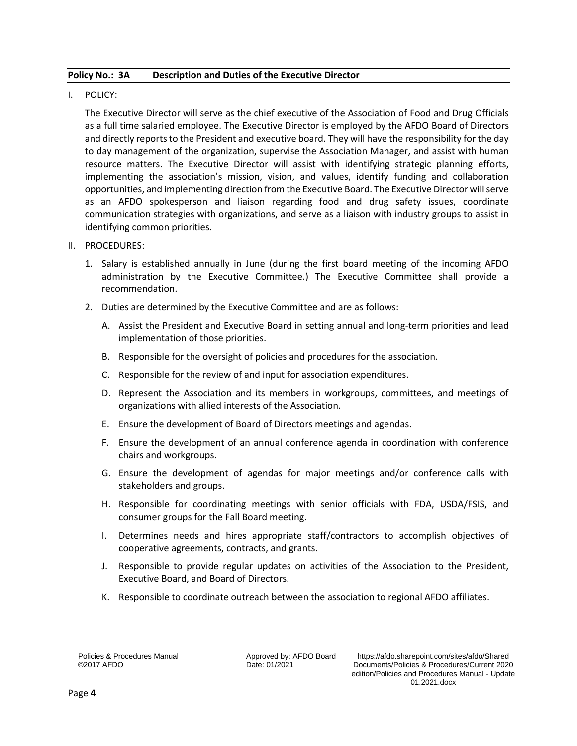## <span id="page-5-0"></span>**Policy No.: 3A Description and Duties of the Executive Director**

I. POLICY:

The Executive Director will serve as the chief executive of the Association of Food and Drug Officials as a full time salaried employee. The Executive Director is employed by the AFDO Board of Directors and directly reports to the President and executive board. They will have the responsibility for the day to day management of the organization, supervise the Association Manager, and assist with human resource matters. The Executive Director will assist with identifying strategic planning efforts, implementing the association's mission, vision, and values, identify funding and collaboration opportunities, and implementing direction from the Executive Board. The Executive Director will serve as an AFDO spokesperson and liaison regarding food and drug safety issues, coordinate communication strategies with organizations, and serve as a liaison with industry groups to assist in identifying common priorities.

- II. PROCEDURES:
	- 1. Salary is established annually in June (during the first board meeting of the incoming AFDO administration by the Executive Committee.) The Executive Committee shall provide a recommendation.
	- 2. Duties are determined by the Executive Committee and are as follows:
		- A. Assist the President and Executive Board in setting annual and long-term priorities and lead implementation of those priorities.
		- B. Responsible for the oversight of policies and procedures for the association.
		- C. Responsible for the review of and input for association expenditures.
		- D. Represent the Association and its members in workgroups, committees, and meetings of organizations with allied interests of the Association.
		- E. Ensure the development of Board of Directors meetings and agendas.
		- F. Ensure the development of an annual conference agenda in coordination with conference chairs and workgroups.
		- G. Ensure the development of agendas for major meetings and/or conference calls with stakeholders and groups.
		- H. Responsible for coordinating meetings with senior officials with FDA, USDA/FSIS, and consumer groups for the Fall Board meeting.
		- I. Determines needs and hires appropriate staff/contractors to accomplish objectives of cooperative agreements, contracts, and grants.
		- J. Responsible to provide regular updates on activities of the Association to the President, Executive Board, and Board of Directors.
		- K. Responsible to coordinate outreach between the association to regional AFDO affiliates.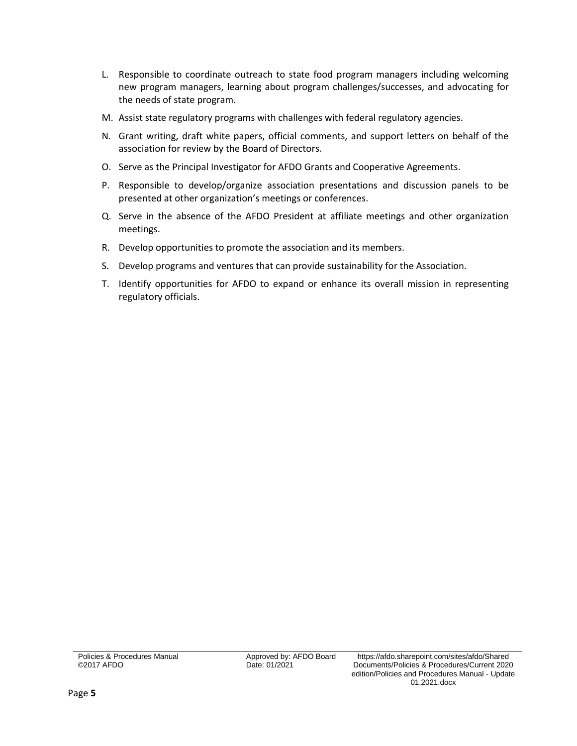- L. Responsible to coordinate outreach to state food program managers including welcoming new program managers, learning about program challenges/successes, and advocating for the needs of state program.
- M. Assist state regulatory programs with challenges with federal regulatory agencies.
- N. Grant writing, draft white papers, official comments, and support letters on behalf of the association for review by the Board of Directors.
- O. Serve as the Principal Investigator for AFDO Grants and Cooperative Agreements.
- P. Responsible to develop/organize association presentations and discussion panels to be presented at other organization's meetings or conferences.
- Q. Serve in the absence of the AFDO President at affiliate meetings and other organization meetings.
- R. Develop opportunities to promote the association and its members.
- S. Develop programs and ventures that can provide sustainability for the Association.
- T. Identify opportunities for AFDO to expand or enhance its overall mission in representing regulatory officials.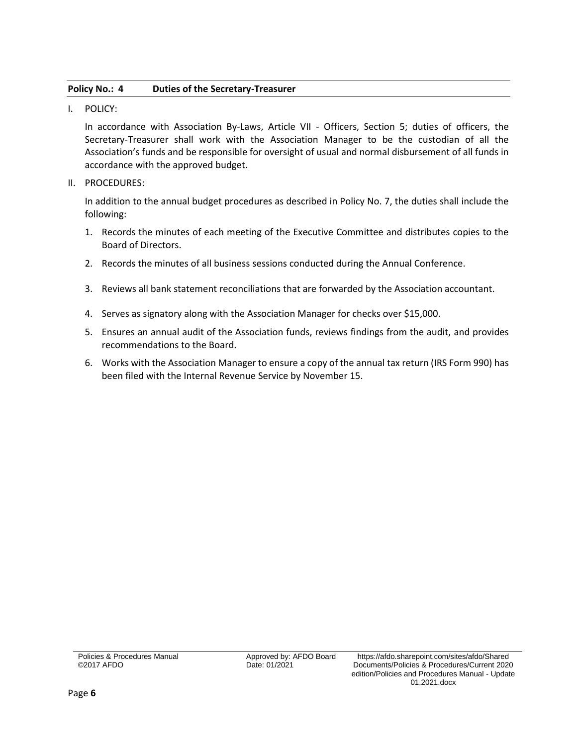### <span id="page-7-0"></span>**Policy No.: 4 Duties of the Secretary-Treasurer**

I. POLICY:

In accordance with Association By-Laws, Article VII - Officers, Section 5; duties of officers, the Secretary-Treasurer shall work with the Association Manager to be the custodian of all the Association's funds and be responsible for oversight of usual and normal disbursement of all funds in accordance with the approved budget.

II. PROCEDURES:

In addition to the annual budget procedures as described in Policy No. 7, the duties shall include the following:

- 1. Records the minutes of each meeting of the Executive Committee and distributes copies to the Board of Directors.
- 2. Records the minutes of all business sessions conducted during the Annual Conference.
- 3. Reviews all bank statement reconciliations that are forwarded by the Association accountant.
- 4. Serves as signatory along with the Association Manager for checks over \$15,000.
- 5. Ensures an annual audit of the Association funds, reviews findings from the audit, and provides recommendations to the Board.
- 6. Works with the Association Manager to ensure a copy of the annual tax return (IRS Form 990) has been filed with the Internal Revenue Service by November 15.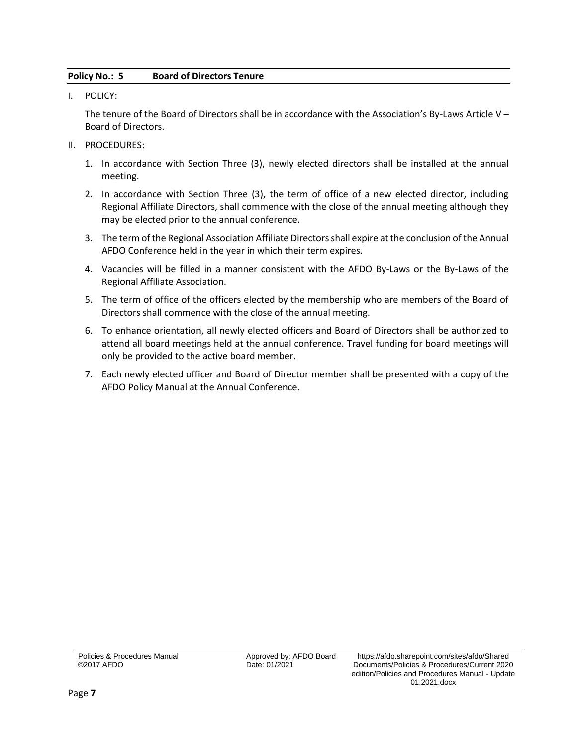# <span id="page-8-0"></span>**Policy No.: 5 Board of Directors Tenure**

I. POLICY:

The tenure of the Board of Directors shall be in accordance with the Association's By-Laws Article V – Board of Directors.

- II. PROCEDURES:
	- 1. In accordance with Section Three (3), newly elected directors shall be installed at the annual meeting.
	- 2. In accordance with Section Three (3), the term of office of a new elected director, including Regional Affiliate Directors, shall commence with the close of the annual meeting although they may be elected prior to the annual conference.
	- 3. The term of the Regional Association Affiliate Directors shall expire at the conclusion of the Annual AFDO Conference held in the year in which their term expires.
	- 4. Vacancies will be filled in a manner consistent with the AFDO By-Laws or the By-Laws of the Regional Affiliate Association.
	- 5. The term of office of the officers elected by the membership who are members of the Board of Directors shall commence with the close of the annual meeting.
	- 6. To enhance orientation, all newly elected officers and Board of Directors shall be authorized to attend all board meetings held at the annual conference. Travel funding for board meetings will only be provided to the active board member.
	- 7. Each newly elected officer and Board of Director member shall be presented with a copy of the AFDO Policy Manual at the Annual Conference.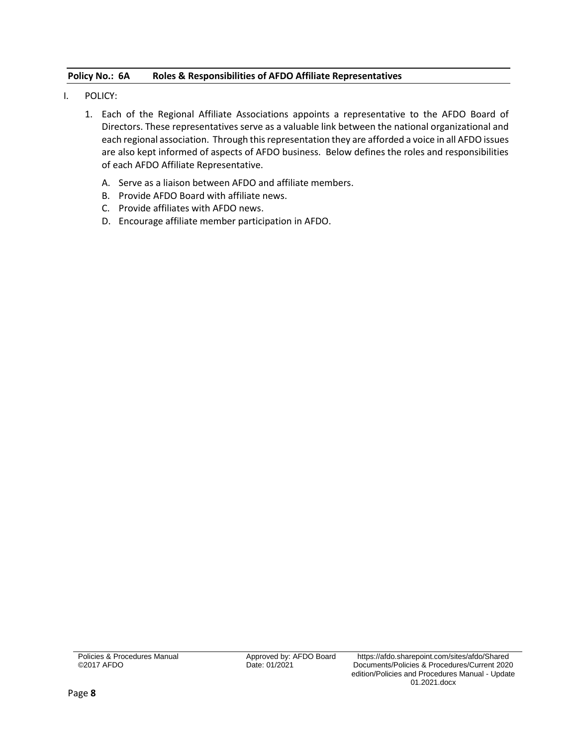# <span id="page-9-0"></span>**Policy No.: 6A Roles & Responsibilities of AFDO Affiliate Representatives**

- I. POLICY:
	- 1. Each of the Regional Affiliate Associations appoints a representative to the AFDO Board of Directors. These representatives serve as a valuable link between the national organizational and each regional association. Through this representation they are afforded a voice in all AFDO issues are also kept informed of aspects of AFDO business. Below defines the roles and responsibilities of each AFDO Affiliate Representative.
		- A. Serve as a liaison between AFDO and affiliate members.
		- B. Provide AFDO Board with affiliate news.
		- C. Provide affiliates with AFDO news.
		- D. Encourage affiliate member participation in AFDO.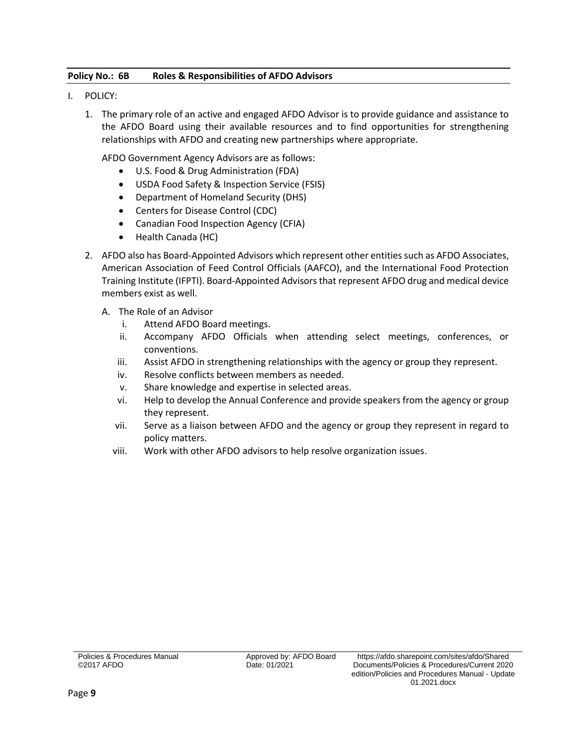# <span id="page-10-0"></span>**Policy No.: 6B Roles & Responsibilities of AFDO Advisors**

- I. POLICY:
	- 1. The primary role of an active and engaged AFDO Advisor is to provide guidance and assistance to the AFDO Board using their available resources and to find opportunities for strengthening relationships with AFDO and creating new partnerships where appropriate.

AFDO Government Agency Advisors are as follows:

- U.S. Food & Drug Administration (FDA)
- USDA Food Safety & Inspection Service (FSIS)
- Department of Homeland Security (DHS)
- Centers for Disease Control (CDC)
- Canadian Food Inspection Agency (CFIA)
- Health Canada (HC)
- 2. AFDO also has Board-Appointed Advisors which represent other entities such as AFDO Associates, American Association of Feed Control Officials (AAFCO), and the International Food Protection Training Institute (IFPTI). Board-Appointed Advisors that represent AFDO drug and medical device members exist as well.
	- A. The Role of an Advisor
		- i. Attend AFDO Board meetings.
		- ii. Accompany AFDO Officials when attending select meetings, conferences, or conventions.
		- iii. Assist AFDO in strengthening relationships with the agency or group they represent.
		- iv. Resolve conflicts between members as needed.
		- v. Share knowledge and expertise in selected areas.
		- vi. Help to develop the Annual Conference and provide speakers from the agency or group they represent.
		- vii. Serve as a liaison between AFDO and the agency or group they represent in regard to policy matters.
		- viii. Work with other AFDO advisors to help resolve organization issues.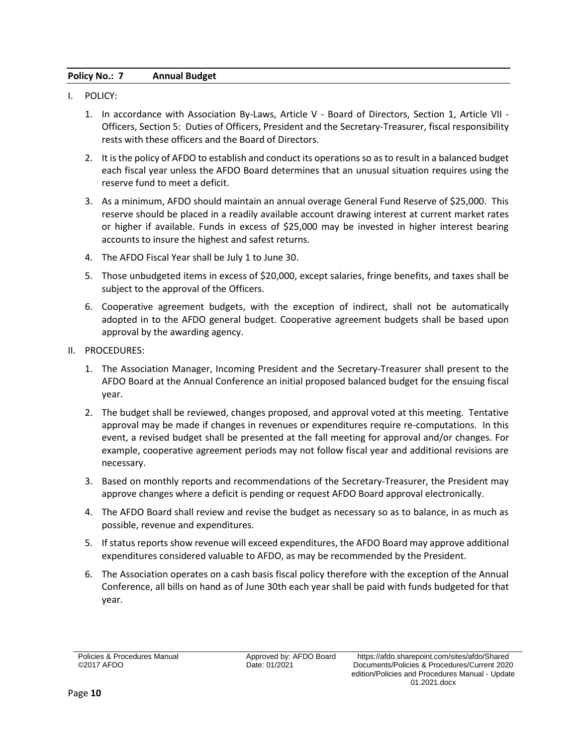# <span id="page-11-0"></span>**Policy No.: 7 Annual Budget**

- I. POLICY:
	- 1. In accordance with Association By-Laws, Article V Board of Directors, Section 1, Article VII Officers, Section 5: Duties of Officers, President and the Secretary-Treasurer, fiscal responsibility rests with these officers and the Board of Directors.
	- 2. It is the policy of AFDO to establish and conduct its operations so as to result in a balanced budget each fiscal year unless the AFDO Board determines that an unusual situation requires using the reserve fund to meet a deficit.
	- 3. As a minimum, AFDO should maintain an annual overage General Fund Reserve of \$25,000. This reserve should be placed in a readily available account drawing interest at current market rates or higher if available. Funds in excess of \$25,000 may be invested in higher interest bearing accounts to insure the highest and safest returns.
	- 4. The AFDO Fiscal Year shall be July 1 to June 30.
	- 5. Those unbudgeted items in excess of \$20,000, except salaries, fringe benefits, and taxes shall be subject to the approval of the Officers.
	- 6. Cooperative agreement budgets, with the exception of indirect, shall not be automatically adopted in to the AFDO general budget. Cooperative agreement budgets shall be based upon approval by the awarding agency.
- II. PROCEDURES:
	- 1. The Association Manager, Incoming President and the Secretary-Treasurer shall present to the AFDO Board at the Annual Conference an initial proposed balanced budget for the ensuing fiscal year.
	- 2. The budget shall be reviewed, changes proposed, and approval voted at this meeting. Tentative approval may be made if changes in revenues or expenditures require re-computations. In this event, a revised budget shall be presented at the fall meeting for approval and/or changes. For example, cooperative agreement periods may not follow fiscal year and additional revisions are necessary.
	- 3. Based on monthly reports and recommendations of the Secretary-Treasurer, the President may approve changes where a deficit is pending or request AFDO Board approval electronically.
	- 4. The AFDO Board shall review and revise the budget as necessary so as to balance, in as much as possible, revenue and expenditures.
	- 5. If status reports show revenue will exceed expenditures, the AFDO Board may approve additional expenditures considered valuable to AFDO, as may be recommended by the President.
	- 6. The Association operates on a cash basis fiscal policy therefore with the exception of the Annual Conference, all bills on hand as of June 30th each year shall be paid with funds budgeted for that year.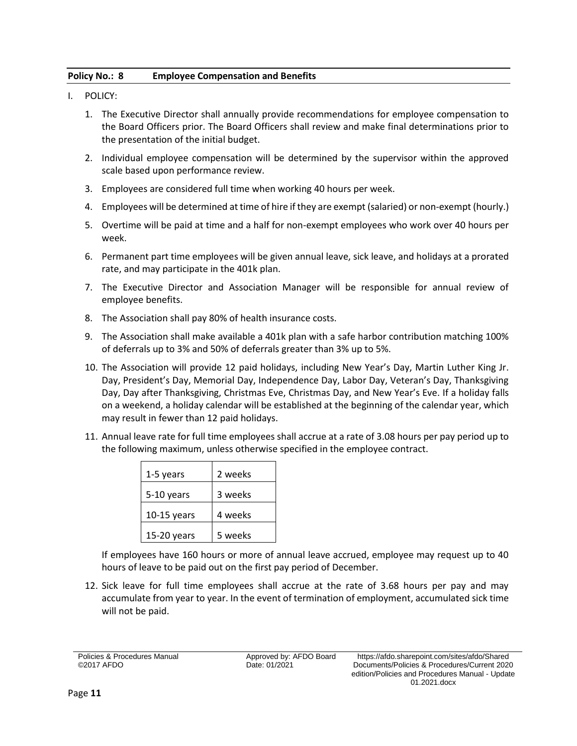# <span id="page-12-0"></span>**Policy No.: 8 Employee Compensation and Benefits**

- I. POLICY:
	- 1. The Executive Director shall annually provide recommendations for employee compensation to the Board Officers prior. The Board Officers shall review and make final determinations prior to the presentation of the initial budget.
	- 2. Individual employee compensation will be determined by the supervisor within the approved scale based upon performance review.
	- 3. Employees are considered full time when working 40 hours per week.
	- 4. Employees will be determined at time of hire if they are exempt (salaried) or non-exempt (hourly.)
	- 5. Overtime will be paid at time and a half for non-exempt employees who work over 40 hours per week.
	- 6. Permanent part time employees will be given annual leave, sick leave, and holidays at a prorated rate, and may participate in the 401k plan.
	- 7. The Executive Director and Association Manager will be responsible for annual review of employee benefits.
	- 8. The Association shall pay 80% of health insurance costs.
	- 9. The Association shall make available a 401k plan with a safe harbor contribution matching 100% of deferrals up to 3% and 50% of deferrals greater than 3% up to 5%.
	- 10. The Association will provide 12 paid holidays, including New Year's Day, Martin Luther King Jr. Day, President's Day, Memorial Day, Independence Day, Labor Day, Veteran's Day, Thanksgiving Day, Day after Thanksgiving, Christmas Eve, Christmas Day, and New Year's Eve. If a holiday falls on a weekend, a holiday calendar will be established at the beginning of the calendar year, which may result in fewer than 12 paid holidays.
	- 11. Annual leave rate for full time employees shall accrue at a rate of 3.08 hours per pay period up to the following maximum, unless otherwise specified in the employee contract.

| 1-5 years     | 2 weeks |
|---------------|---------|
| 5-10 years    | 3 weeks |
| $10-15$ years | 4 weeks |
| 15-20 years   | 5 weeks |

If employees have 160 hours or more of annual leave accrued, employee may request up to 40 hours of leave to be paid out on the first pay period of December.

12. Sick leave for full time employees shall accrue at the rate of 3.68 hours per pay and may accumulate from year to year. In the event of termination of employment, accumulated sick time will not be paid.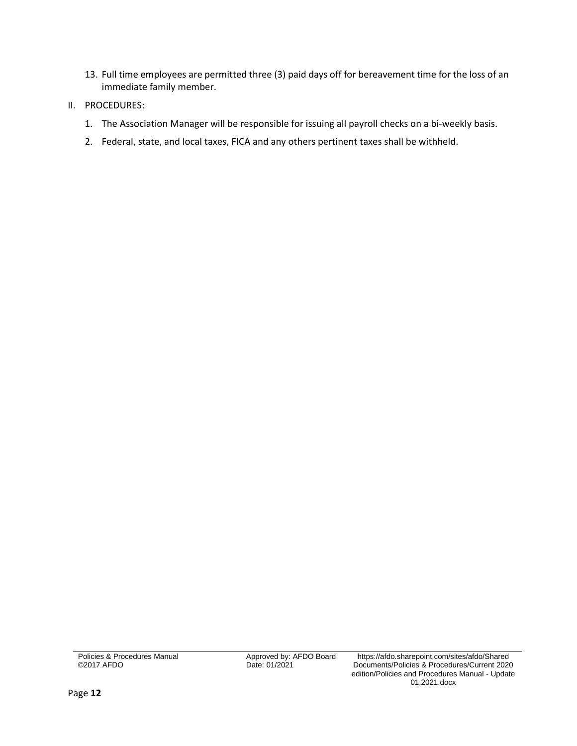- 13. Full time employees are permitted three (3) paid days off for bereavement time for the loss of an immediate family member.
- II. PROCEDURES:
	- 1. The Association Manager will be responsible for issuing all payroll checks on a bi-weekly basis.
	- 2. Federal, state, and local taxes, FICA and any others pertinent taxes shall be withheld.

Policies & Procedures Manual ©2017 AFDO

Date: 01/2021

Approved by: AFDO Board https://afdo.sharepoint.com/sites/afdo/Shared Documents/Policies & Procedures/Current 2020 edition/Policies and Procedures Manual - Update 01.2021.docx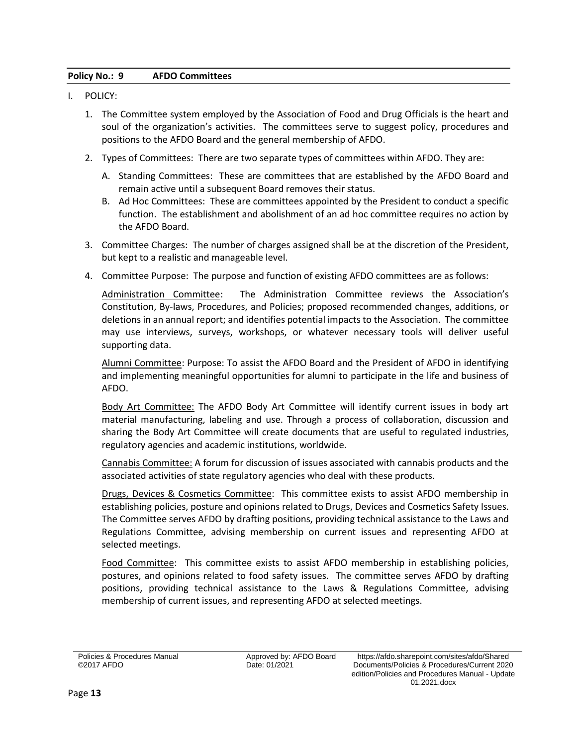# <span id="page-14-0"></span>**Policy No.: 9 AFDO Committees**

- I. POLICY:
	- 1. The Committee system employed by the Association of Food and Drug Officials is the heart and soul of the organization's activities. The committees serve to suggest policy, procedures and positions to the AFDO Board and the general membership of AFDO.
	- 2. Types of Committees: There are two separate types of committees within AFDO. They are:
		- A. Standing Committees: These are committees that are established by the AFDO Board and remain active until a subsequent Board removes their status.
		- B. Ad Hoc Committees: These are committees appointed by the President to conduct a specific function. The establishment and abolishment of an ad hoc committee requires no action by the AFDO Board.
	- 3. Committee Charges: The number of charges assigned shall be at the discretion of the President, but kept to a realistic and manageable level.
	- 4. Committee Purpose: The purpose and function of existing AFDO committees are as follows:

Administration Committee: The Administration Committee reviews the Association's Constitution, By-laws, Procedures, and Policies; proposed recommended changes, additions, or deletions in an annual report; and identifies potential impacts to the Association. The committee may use interviews, surveys, workshops, or whatever necessary tools will deliver useful supporting data.

Alumni Committee: Purpose: To assist the AFDO Board and the President of AFDO in identifying and implementing meaningful opportunities for alumni to participate in the life and business of AFDO.

Body Art Committee: The AFDO Body Art Committee will identify current issues in body art material manufacturing, labeling and use. Through a process of collaboration, discussion and sharing the Body Art Committee will create documents that are useful to regulated industries, regulatory agencies and academic institutions, worldwide.

Cannabis Committee: A forum for discussion of issues associated with cannabis products and the associated activities of state regulatory agencies who deal with these products.

Drugs, Devices & Cosmetics Committee: This committee exists to assist AFDO membership in establishing policies, posture and opinions related to Drugs, Devices and Cosmetics Safety Issues. The Committee serves AFDO by drafting positions, providing technical assistance to the Laws and Regulations Committee, advising membership on current issues and representing AFDO at selected meetings.

Food Committee: This committee exists to assist AFDO membership in establishing policies, postures, and opinions related to food safety issues. The committee serves AFDO by drafting positions, providing technical assistance to the Laws & Regulations Committee, advising membership of current issues, and representing AFDO at selected meetings.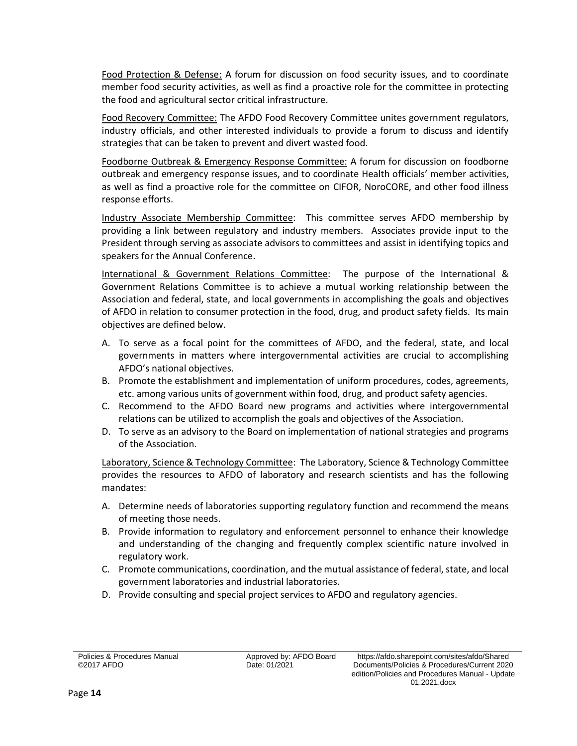Food Protection & Defense: A forum for discussion on food security issues, and to coordinate member food security activities, as well as find a proactive role for the committee in protecting the food and agricultural sector critical infrastructure.

Food Recovery Committee: The AFDO Food Recovery Committee unites government regulators, industry officials, and other interested individuals to provide a forum to discuss and identify strategies that can be taken to prevent and divert wasted food.

Foodborne Outbreak & Emergency Response Committee: A forum for discussion on foodborne outbreak and emergency response issues, and to coordinate Health officials' member activities, as well as find a proactive role for the committee on CIFOR, NoroCORE, and other food illness response efforts.

Industry Associate Membership Committee: This committee serves AFDO membership by providing a link between regulatory and industry members. Associates provide input to the President through serving as associate advisors to committees and assist in identifying topics and speakers for the Annual Conference.

International & Government Relations Committee: The purpose of the International & Government Relations Committee is to achieve a mutual working relationship between the Association and federal, state, and local governments in accomplishing the goals and objectives of AFDO in relation to consumer protection in the food, drug, and product safety fields. Its main objectives are defined below.

- A. To serve as a focal point for the committees of AFDO, and the federal, state, and local governments in matters where intergovernmental activities are crucial to accomplishing AFDO's national objectives.
- B. Promote the establishment and implementation of uniform procedures, codes, agreements, etc. among various units of government within food, drug, and product safety agencies.
- C. Recommend to the AFDO Board new programs and activities where intergovernmental relations can be utilized to accomplish the goals and objectives of the Association.
- D. To serve as an advisory to the Board on implementation of national strategies and programs of the Association.

Laboratory, Science & Technology Committee: The Laboratory, Science & Technology Committee provides the resources to AFDO of laboratory and research scientists and has the following mandates:

- A. Determine needs of laboratories supporting regulatory function and recommend the means of meeting those needs.
- B. Provide information to regulatory and enforcement personnel to enhance their knowledge and understanding of the changing and frequently complex scientific nature involved in regulatory work.
- C. Promote communications, coordination, and the mutual assistance of federal, state, and local government laboratories and industrial laboratories.
- D. Provide consulting and special project services to AFDO and regulatory agencies.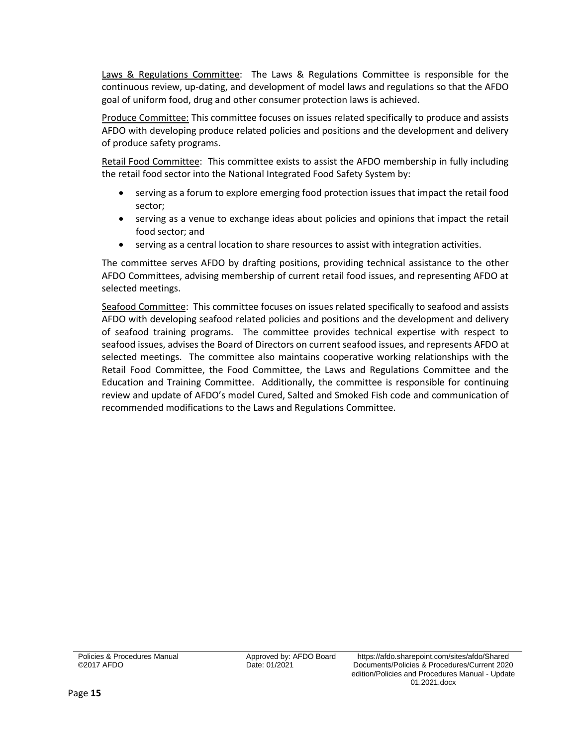Laws & Regulations Committee: The Laws & Regulations Committee is responsible for the continuous review, up-dating, and development of model laws and regulations so that the AFDO goal of uniform food, drug and other consumer protection laws is achieved.

Produce Committee: This committee focuses on issues related specifically to produce and assists AFDO with developing produce related policies and positions and the development and delivery of produce safety programs.

Retail Food Committee: This committee exists to assist the AFDO membership in fully including the retail food sector into the National Integrated Food Safety System by:

- serving as a forum to explore emerging food protection issues that impact the retail food sector;
- serving as a venue to exchange ideas about policies and opinions that impact the retail food sector; and
- serving as a central location to share resources to assist with integration activities.

The committee serves AFDO by drafting positions, providing technical assistance to the other AFDO Committees, advising membership of current retail food issues, and representing AFDO at selected meetings.

Seafood Committee: This committee focuses on issues related specifically to seafood and assists AFDO with developing seafood related policies and positions and the development and delivery of seafood training programs. The committee provides technical expertise with respect to seafood issues, advises the Board of Directors on current seafood issues, and represents AFDO at selected meetings. The committee also maintains cooperative working relationships with the Retail Food Committee, the Food Committee, the Laws and Regulations Committee and the Education and Training Committee. Additionally, the committee is responsible for continuing review and update of AFDO's model Cured, Salted and Smoked Fish code and communication of recommended modifications to the Laws and Regulations Committee.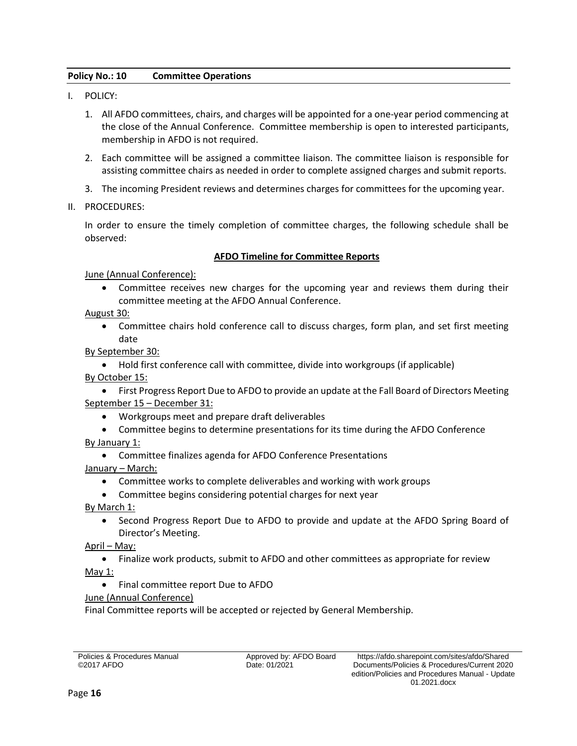# <span id="page-17-0"></span>**Policy No.: 10 Committee Operations**

- I. POLICY:
	- 1. All AFDO committees, chairs, and charges will be appointed for a one-year period commencing at the close of the Annual Conference. Committee membership is open to interested participants, membership in AFDO is not required.
	- 2. Each committee will be assigned a committee liaison. The committee liaison is responsible for assisting committee chairs as needed in order to complete assigned charges and submit reports.
	- 3. The incoming President reviews and determines charges for committees for the upcoming year.
- II. PROCEDURES:

In order to ensure the timely completion of committee charges, the following schedule shall be observed:

# **AFDO Timeline for Committee Reports**

June (Annual Conference):

 Committee receives new charges for the upcoming year and reviews them during their committee meeting at the AFDO Annual Conference.

August 30:

 Committee chairs hold conference call to discuss charges, form plan, and set first meeting date

By September 30:

 Hold first conference call with committee, divide into workgroups (if applicable) By October 15:

 First Progress Report Due to AFDO to provide an update at the Fall Board of Directors Meeting September 15 – December 31:

- Workgroups meet and prepare draft deliverables
- Committee begins to determine presentations for its time during the AFDO Conference

By January 1:

- Committee finalizes agenda for AFDO Conference Presentations
- January March:
	- Committee works to complete deliverables and working with work groups
	- Committee begins considering potential charges for next year

By March 1:

• Second Progress Report Due to AFDO to provide and update at the AFDO Spring Board of Director's Meeting.

April – May:

Finalize work products, submit to AFDO and other committees as appropriate for review

May 1:

Final committee report Due to AFDO

June (Annual Conference)

Final Committee reports will be accepted or rejected by General Membership.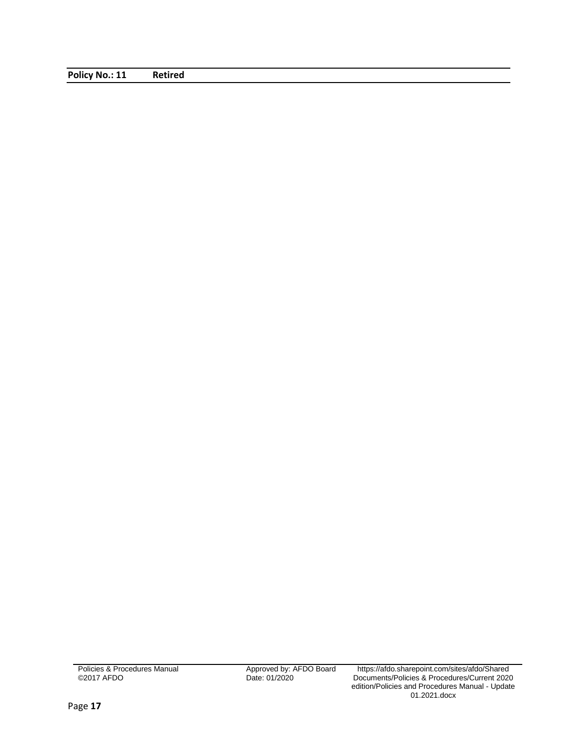<span id="page-18-0"></span>**Policy No.: 11 Retired**

Policies & Procedures Manual ©2017 AFDO

Approved by: AFDO Board<br>Date: 01/2020

Approved by: AFDO Board https://afdo.sharepoint.com/sites/afdo/Shared Documents/Policies & Procedures/Current 2020 edition/Policies and Procedures Manual - Update 01.2021.docx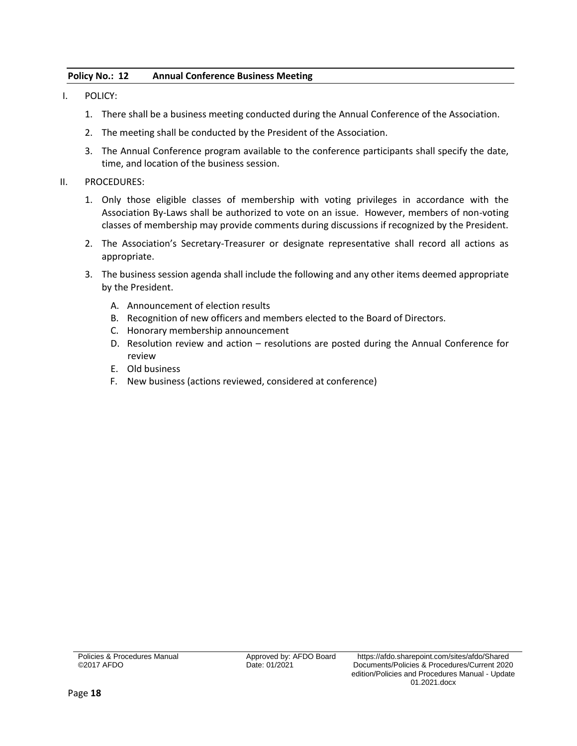# <span id="page-19-0"></span>**Policy No.: 12 Annual Conference Business Meeting**

- I. POLICY:
	- 1. There shall be a business meeting conducted during the Annual Conference of the Association.
	- 2. The meeting shall be conducted by the President of the Association.
	- 3. The Annual Conference program available to the conference participants shall specify the date, time, and location of the business session.

### II. PROCEDURES:

- 1. Only those eligible classes of membership with voting privileges in accordance with the Association By-Laws shall be authorized to vote on an issue. However, members of non-voting classes of membership may provide comments during discussions if recognized by the President.
- 2. The Association's Secretary-Treasurer or designate representative shall record all actions as appropriate.
- 3. The business session agenda shall include the following and any other items deemed appropriate by the President.
	- A. Announcement of election results
	- B. Recognition of new officers and members elected to the Board of Directors.
	- C. Honorary membership announcement
	- D. Resolution review and action resolutions are posted during the Annual Conference for review
	- E. Old business
	- F. New business (actions reviewed, considered at conference)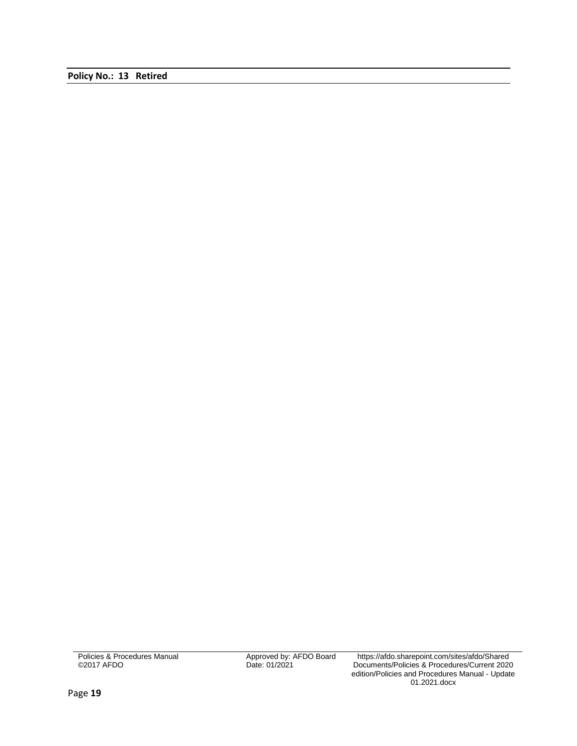<span id="page-20-0"></span>**Policy No.: 13 Retired**

Policies & Procedures Manual ©2017 AFDO

Approved by: AFDO Board<br>Date: 01/2021

Approved by: AFDO Board https://afdo.sharepoint.com/sites/afdo/Shared Documents/Policies & Procedures/Current 2020 edition/Policies and Procedures Manual - Update 01.2021.docx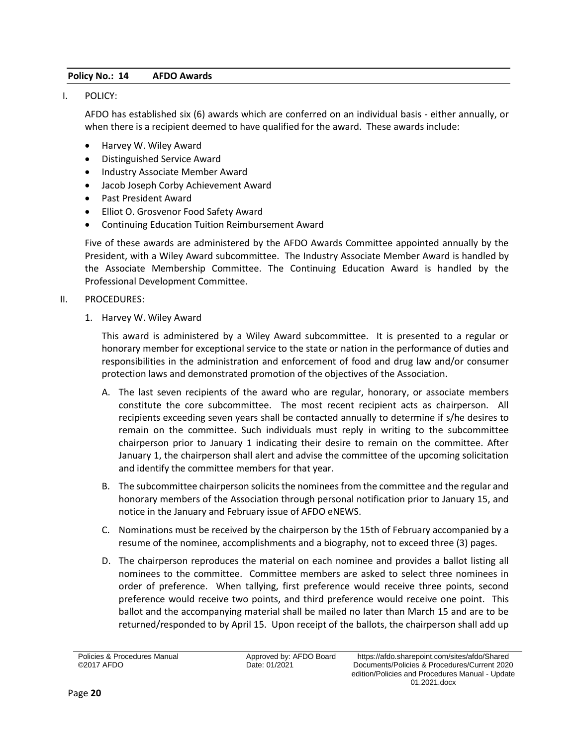# <span id="page-21-0"></span>**Policy No.: 14 AFDO Awards**

I. POLICY:

AFDO has established six (6) awards which are conferred on an individual basis - either annually, or when there is a recipient deemed to have qualified for the award. These awards include:

- Harvey W. Wiley Award
- Distinguished Service Award
- Industry Associate Member Award
- Jacob Joseph Corby Achievement Award
- Past President Award
- Elliot O. Grosvenor Food Safety Award
- Continuing Education Tuition Reimbursement Award

Five of these awards are administered by the AFDO Awards Committee appointed annually by the President, with a Wiley Award subcommittee. The Industry Associate Member Award is handled by the Associate Membership Committee. The Continuing Education Award is handled by the Professional Development Committee.

#### II. PROCEDURES:

1. Harvey W. Wiley Award

This award is administered by a Wiley Award subcommittee. It is presented to a regular or honorary member for exceptional service to the state or nation in the performance of duties and responsibilities in the administration and enforcement of food and drug law and/or consumer protection laws and demonstrated promotion of the objectives of the Association.

- A. The last seven recipients of the award who are regular, honorary, or associate members constitute the core subcommittee. The most recent recipient acts as chairperson. All recipients exceeding seven years shall be contacted annually to determine if s/he desires to remain on the committee. Such individuals must reply in writing to the subcommittee chairperson prior to January 1 indicating their desire to remain on the committee. After January 1, the chairperson shall alert and advise the committee of the upcoming solicitation and identify the committee members for that year.
- B. The subcommittee chairperson solicits the nominees from the committee and the regular and honorary members of the Association through personal notification prior to January 15, and notice in the January and February issue of AFDO eNEWS.
- C. Nominations must be received by the chairperson by the 15th of February accompanied by a resume of the nominee, accomplishments and a biography, not to exceed three (3) pages.
- D. The chairperson reproduces the material on each nominee and provides a ballot listing all nominees to the committee. Committee members are asked to select three nominees in order of preference. When tallying, first preference would receive three points, second preference would receive two points, and third preference would receive one point. This ballot and the accompanying material shall be mailed no later than March 15 and are to be returned/responded to by April 15. Upon receipt of the ballots, the chairperson shall add up

Policies & Procedures Manual ©2017 AFDO

Date: 01/2021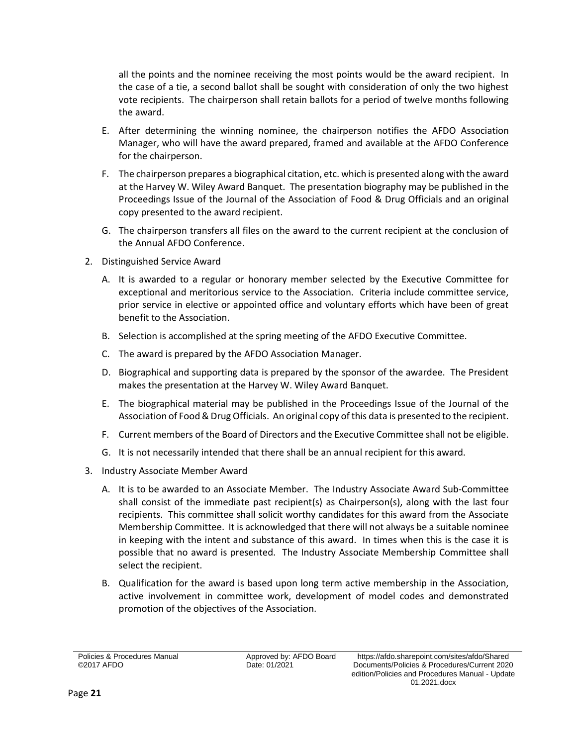all the points and the nominee receiving the most points would be the award recipient. In the case of a tie, a second ballot shall be sought with consideration of only the two highest vote recipients. The chairperson shall retain ballots for a period of twelve months following the award.

- E. After determining the winning nominee, the chairperson notifies the AFDO Association Manager, who will have the award prepared, framed and available at the AFDO Conference for the chairperson.
- F. The chairperson prepares a biographical citation, etc. which is presented along with the award at the Harvey W. Wiley Award Banquet. The presentation biography may be published in the Proceedings Issue of the Journal of the Association of Food & Drug Officials and an original copy presented to the award recipient.
- G. The chairperson transfers all files on the award to the current recipient at the conclusion of the Annual AFDO Conference.
- 2. Distinguished Service Award
	- A. It is awarded to a regular or honorary member selected by the Executive Committee for exceptional and meritorious service to the Association. Criteria include committee service, prior service in elective or appointed office and voluntary efforts which have been of great benefit to the Association.
	- B. Selection is accomplished at the spring meeting of the AFDO Executive Committee.
	- C. The award is prepared by the AFDO Association Manager.
	- D. Biographical and supporting data is prepared by the sponsor of the awardee. The President makes the presentation at the Harvey W. Wiley Award Banquet.
	- E. The biographical material may be published in the Proceedings Issue of the Journal of the Association of Food & Drug Officials. An original copy of this data is presented to the recipient.
	- F. Current members of the Board of Directors and the Executive Committee shall not be eligible.
	- G. It is not necessarily intended that there shall be an annual recipient for this award.
- 3. Industry Associate Member Award
	- A. It is to be awarded to an Associate Member. The Industry Associate Award Sub-Committee shall consist of the immediate past recipient(s) as Chairperson(s), along with the last four recipients. This committee shall solicit worthy candidates for this award from the Associate Membership Committee. It is acknowledged that there will not always be a suitable nominee in keeping with the intent and substance of this award. In times when this is the case it is possible that no award is presented. The Industry Associate Membership Committee shall select the recipient.
	- B. Qualification for the award is based upon long term active membership in the Association, active involvement in committee work, development of model codes and demonstrated promotion of the objectives of the Association.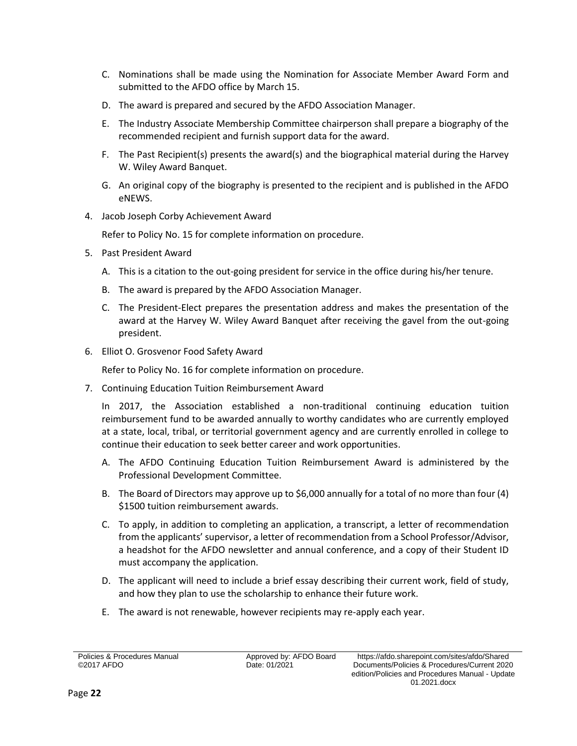- C. Nominations shall be made using the Nomination for Associate Member Award Form and submitted to the AFDO office by March 15.
- D. The award is prepared and secured by the AFDO Association Manager.
- E. The Industry Associate Membership Committee chairperson shall prepare a biography of the recommended recipient and furnish support data for the award.
- F. The Past Recipient(s) presents the award(s) and the biographical material during the Harvey W. Wiley Award Banquet.
- G. An original copy of the biography is presented to the recipient and is published in the AFDO eNEWS.
- 4. Jacob Joseph Corby Achievement Award

Refer to Policy No. 15 for complete information on procedure.

- 5. Past President Award
	- A. This is a citation to the out-going president for service in the office during his/her tenure.
	- B. The award is prepared by the AFDO Association Manager.
	- C. The President-Elect prepares the presentation address and makes the presentation of the award at the Harvey W. Wiley Award Banquet after receiving the gavel from the out-going president.
- 6. Elliot O. Grosvenor Food Safety Award

Refer to Policy No. 16 for complete information on procedure.

7. Continuing Education Tuition Reimbursement Award

In 2017, the Association established a non-traditional continuing education tuition reimbursement fund to be awarded annually to worthy candidates who are currently employed at a state, local, tribal, or territorial government agency and are currently enrolled in college to continue their education to seek better career and work opportunities.

- A. The AFDO Continuing Education Tuition Reimbursement Award is administered by the Professional Development Committee.
- B. The Board of Directors may approve up to \$6,000 annually for a total of no more than four (4) \$1500 tuition reimbursement awards.
- C. To apply, in addition to completing an application, a transcript, a letter of recommendation from the applicants' supervisor, a letter of recommendation from a School Professor/Advisor, a headshot for the AFDO newsletter and annual conference, and a copy of their Student ID must accompany the application.
- D. The applicant will need to include a brief essay describing their current work, field of study, and how they plan to use the scholarship to enhance their future work.
- E. The award is not renewable, however recipients may re-apply each year.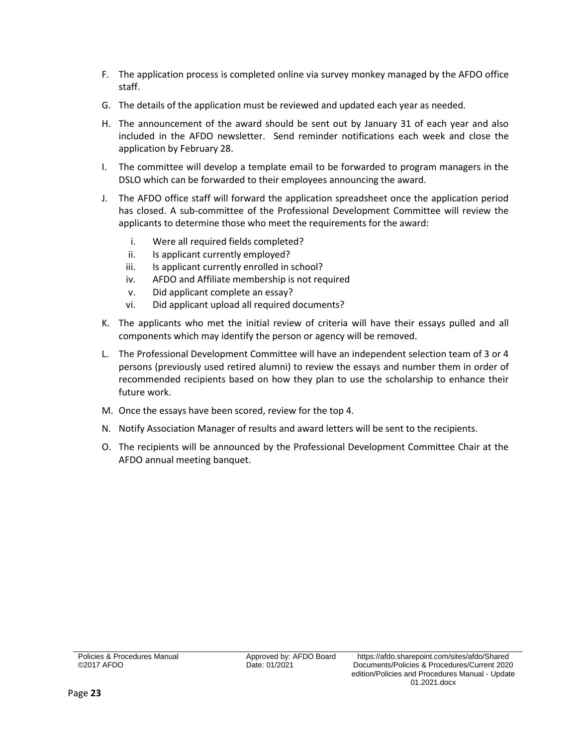- F. The application process is completed online via survey monkey managed by the AFDO office staff.
- G. The details of the application must be reviewed and updated each year as needed.
- H. The announcement of the award should be sent out by January 31 of each year and also included in the AFDO newsletter. Send reminder notifications each week and close the application by February 28.
- I. The committee will develop a template email to be forwarded to program managers in the DSLO which can be forwarded to their employees announcing the award.
- J. The AFDO office staff will forward the application spreadsheet once the application period has closed. A sub-committee of the Professional Development Committee will review the applicants to determine those who meet the requirements for the award:
	- i. Were all required fields completed?
	- ii. Is applicant currently employed?
	- iii. Is applicant currently enrolled in school?
	- iv. AFDO and Affiliate membership is not required
	- v. Did applicant complete an essay?
	- vi. Did applicant upload all required documents?
- K. The applicants who met the initial review of criteria will have their essays pulled and all components which may identify the person or agency will be removed.
- L. The Professional Development Committee will have an independent selection team of 3 or 4 persons (previously used retired alumni) to review the essays and number them in order of recommended recipients based on how they plan to use the scholarship to enhance their future work.
- M. Once the essays have been scored, review for the top 4.
- N. Notify Association Manager of results and award letters will be sent to the recipients.
- O. The recipients will be announced by the Professional Development Committee Chair at the AFDO annual meeting banquet.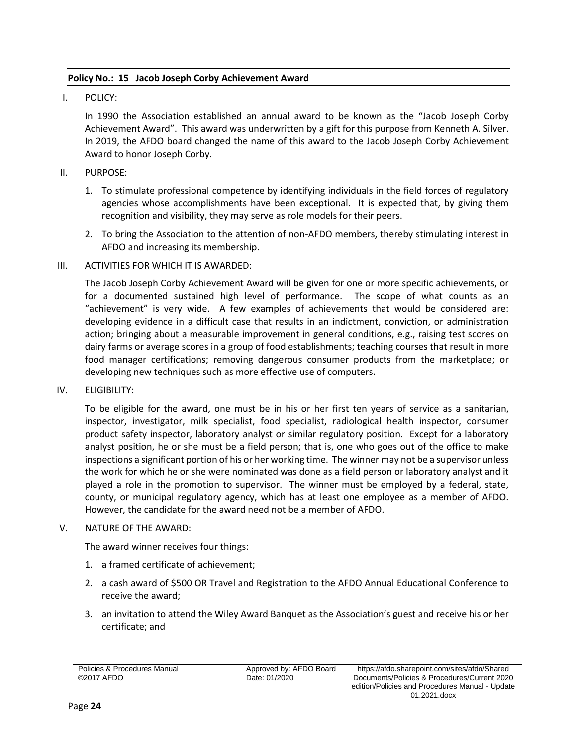# <span id="page-25-0"></span>**Policy No.: 15 Jacob Joseph Corby Achievement Award**

I. POLICY:

In 1990 the Association established an annual award to be known as the "Jacob Joseph Corby Achievement Award". This award was underwritten by a gift for this purpose from Kenneth A. Silver. In 2019, the AFDO board changed the name of this award to the Jacob Joseph Corby Achievement Award to honor Joseph Corby.

- II. PURPOSE:
	- 1. To stimulate professional competence by identifying individuals in the field forces of regulatory agencies whose accomplishments have been exceptional. It is expected that, by giving them recognition and visibility, they may serve as role models for their peers.
	- 2. To bring the Association to the attention of non-AFDO members, thereby stimulating interest in AFDO and increasing its membership.

## III. ACTIVITIES FOR WHICH IT IS AWARDED:

The Jacob Joseph Corby Achievement Award will be given for one or more specific achievements, or for a documented sustained high level of performance. The scope of what counts as an "achievement" is very wide. A few examples of achievements that would be considered are: developing evidence in a difficult case that results in an indictment, conviction, or administration action; bringing about a measurable improvement in general conditions, e.g., raising test scores on dairy farms or average scores in a group of food establishments; teaching courses that result in more food manager certifications; removing dangerous consumer products from the marketplace; or developing new techniques such as more effective use of computers.

IV. ELIGIBILITY:

To be eligible for the award, one must be in his or her first ten years of service as a sanitarian, inspector, investigator, milk specialist, food specialist, radiological health inspector, consumer product safety inspector, laboratory analyst or similar regulatory position. Except for a laboratory analyst position, he or she must be a field person; that is, one who goes out of the office to make inspections a significant portion of his or her working time. The winner may not be a supervisor unless the work for which he or she were nominated was done as a field person or laboratory analyst and it played a role in the promotion to supervisor. The winner must be employed by a federal, state, county, or municipal regulatory agency, which has at least one employee as a member of AFDO. However, the candidate for the award need not be a member of AFDO.

## V. NATURE OF THE AWARD:

The award winner receives four things:

- 1. a framed certificate of achievement;
- 2. a cash award of \$500 OR Travel and Registration to the AFDO Annual Educational Conference to receive the award;
- 3. an invitation to attend the Wiley Award Banquet as the Association's guest and receive his or her certificate; and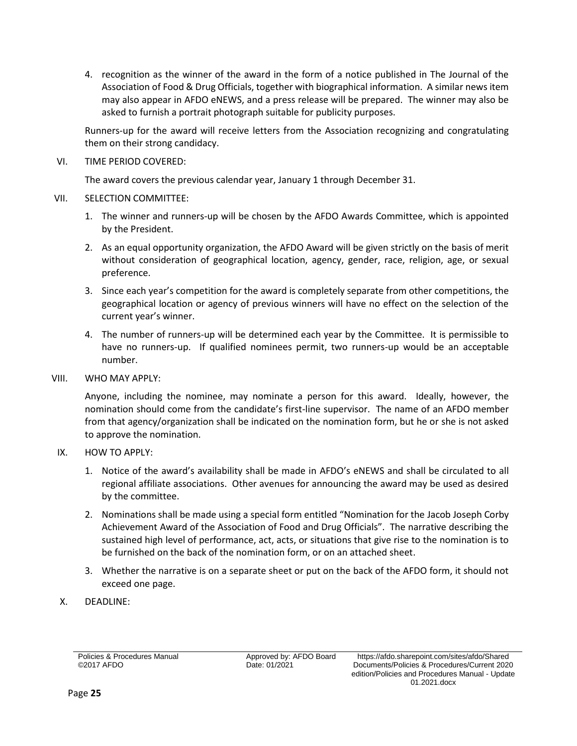4. recognition as the winner of the award in the form of a notice published in The Journal of the Association of Food & Drug Officials, together with biographical information. A similar news item may also appear in AFDO eNEWS, and a press release will be prepared. The winner may also be asked to furnish a portrait photograph suitable for publicity purposes.

Runners-up for the award will receive letters from the Association recognizing and congratulating them on their strong candidacy.

# VI. TIME PERIOD COVERED:

The award covers the previous calendar year, January 1 through December 31.

# VII. SELECTION COMMITTEE:

- 1. The winner and runners-up will be chosen by the AFDO Awards Committee, which is appointed by the President.
- 2. As an equal opportunity organization, the AFDO Award will be given strictly on the basis of merit without consideration of geographical location, agency, gender, race, religion, age, or sexual preference.
- 3. Since each year's competition for the award is completely separate from other competitions, the geographical location or agency of previous winners will have no effect on the selection of the current year's winner.
- 4. The number of runners-up will be determined each year by the Committee. It is permissible to have no runners-up. If qualified nominees permit, two runners-up would be an acceptable number.

# VIII. WHO MAY APPLY:

Anyone, including the nominee, may nominate a person for this award. Ideally, however, the nomination should come from the candidate's first-line supervisor. The name of an AFDO member from that agency/organization shall be indicated on the nomination form, but he or she is not asked to approve the nomination.

# IX. HOW TO APPLY:

- 1. Notice of the award's availability shall be made in AFDO's eNEWS and shall be circulated to all regional affiliate associations. Other avenues for announcing the award may be used as desired by the committee.
- 2. Nominations shall be made using a special form entitled "Nomination for the Jacob Joseph Corby Achievement Award of the Association of Food and Drug Officials". The narrative describing the sustained high level of performance, act, acts, or situations that give rise to the nomination is to be furnished on the back of the nomination form, or on an attached sheet.
- 3. Whether the narrative is on a separate sheet or put on the back of the AFDO form, it should not exceed one page.
- X. DEADLINE: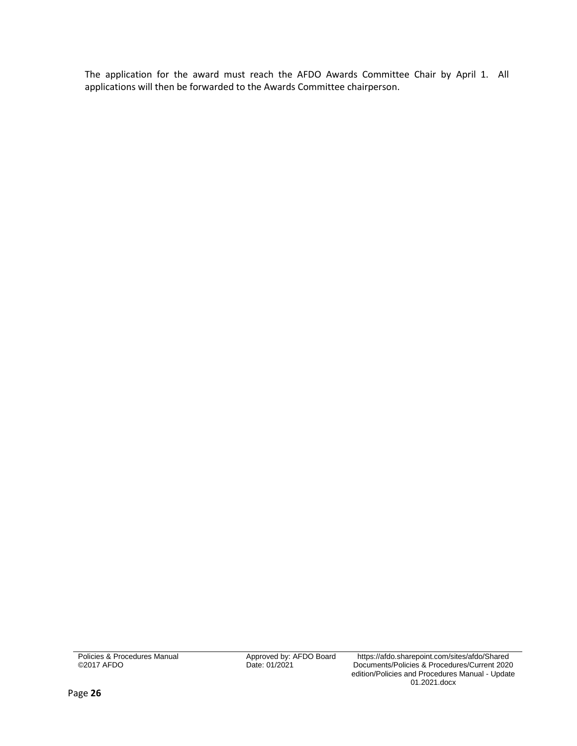The application for the award must reach the AFDO Awards Committee Chair by April 1. All applications will then be forwarded to the Awards Committee chairperson.

Policies & Procedures Manual ©2017 AFDO

Approved by: AFDO Board<br>Date: 01/2021

https://afdo.sharepoint.com/sites/afdo/Shared Documents/Policies & Procedures/Current 2020 edition/Policies and Procedures Manual - Update 01.2021.docx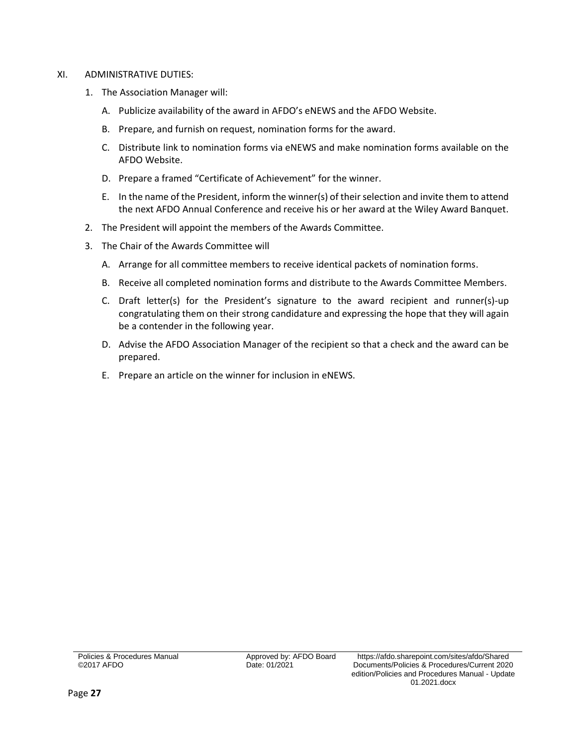#### XI. ADMINISTRATIVE DUTIES:

- 1. The Association Manager will:
	- A. Publicize availability of the award in AFDO's eNEWS and the AFDO Website.
	- B. Prepare, and furnish on request, nomination forms for the award.
	- C. Distribute link to nomination forms via eNEWS and make nomination forms available on the AFDO Website.
	- D. Prepare a framed "Certificate of Achievement" for the winner.
	- E. In the name of the President, inform the winner(s) of their selection and invite them to attend the next AFDO Annual Conference and receive his or her award at the Wiley Award Banquet.
- 2. The President will appoint the members of the Awards Committee.
- 3. The Chair of the Awards Committee will
	- A. Arrange for all committee members to receive identical packets of nomination forms.
	- B. Receive all completed nomination forms and distribute to the Awards Committee Members.
	- C. Draft letter(s) for the President's signature to the award recipient and runner(s)-up congratulating them on their strong candidature and expressing the hope that they will again be a contender in the following year.
	- D. Advise the AFDO Association Manager of the recipient so that a check and the award can be prepared.
	- E. Prepare an article on the winner for inclusion in eNEWS.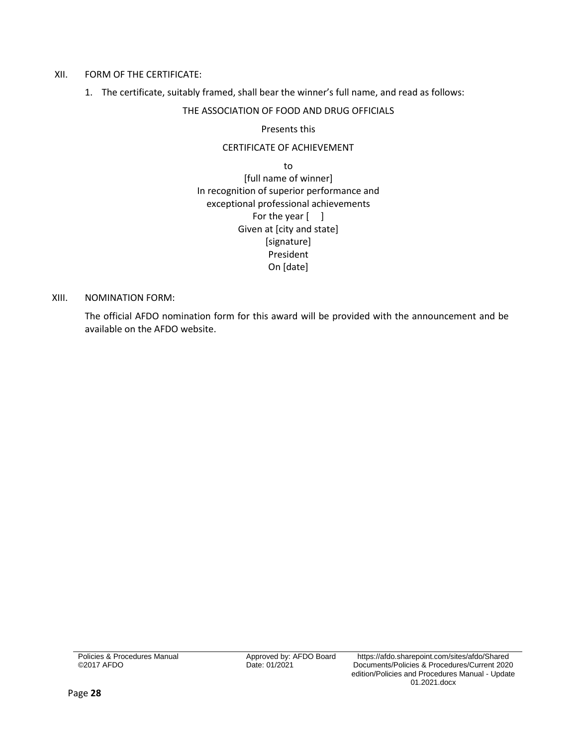#### XII. FORM OF THE CERTIFICATE:

1. The certificate, suitably framed, shall bear the winner's full name, and read as follows:

# THE ASSOCIATION OF FOOD AND DRUG OFFICIALS

### Presents this

# CERTIFICATE OF ACHIEVEMENT

to [full name of winner] In recognition of superior performance and exceptional professional achievements For the year [ ] Given at [city and state] [signature] President On [date]

#### XIII. NOMINATION FORM:

The official AFDO nomination form for this award will be provided with the announcement and be available on the AFDO website.

Policies & Procedures Manual ©2017 AFDO

Date: 01/2021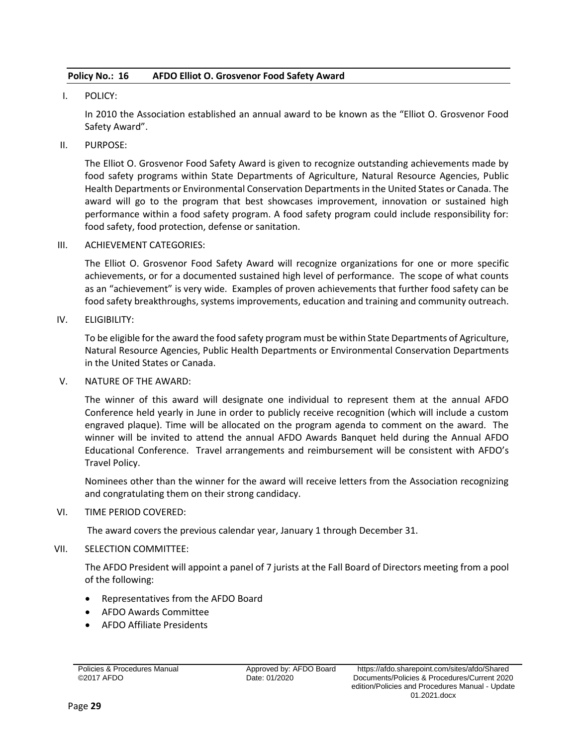# <span id="page-30-0"></span>**Policy No.: 16 AFDO Elliot O. Grosvenor Food Safety Award**

# I. POLICY:

In 2010 the Association established an annual award to be known as the "Elliot O. Grosvenor Food Safety Award".

# II. PURPOSE:

The Elliot O. Grosvenor Food Safety Award is given to recognize outstanding achievements made by food safety programs within State Departments of Agriculture, Natural Resource Agencies, Public Health Departments or Environmental Conservation Departments in the United States or Canada. The award will go to the program that best showcases improvement, innovation or sustained high performance within a food safety program. A food safety program could include responsibility for: food safety, food protection, defense or sanitation.

## III. ACHIEVEMENT CATEGORIES:

The Elliot O. Grosvenor Food Safety Award will recognize organizations for one or more specific achievements, or for a documented sustained high level of performance. The scope of what counts as an "achievement" is very wide. Examples of proven achievements that further food safety can be food safety breakthroughs, systems improvements, education and training and community outreach.

# IV. ELIGIBILITY:

To be eligible for the award the food safety program must be within State Departments of Agriculture, Natural Resource Agencies, Public Health Departments or Environmental Conservation Departments in the United States or Canada.

## V. NATURE OF THE AWARD:

The winner of this award will designate one individual to represent them at the annual AFDO Conference held yearly in June in order to publicly receive recognition (which will include a custom engraved plaque). Time will be allocated on the program agenda to comment on the award. The winner will be invited to attend the annual AFDO Awards Banquet held during the Annual AFDO Educational Conference. Travel arrangements and reimbursement will be consistent with AFDO's Travel Policy.

Nominees other than the winner for the award will receive letters from the Association recognizing and congratulating them on their strong candidacy.

# VI. TIME PERIOD COVERED:

The award covers the previous calendar year, January 1 through December 31.

# VII. SELECTION COMMITTEE:

The AFDO President will appoint a panel of 7 jurists at the Fall Board of Directors meeting from a pool of the following:

- Representatives from the AFDO Board
- AFDO Awards Committee
- AFDO Affiliate Presidents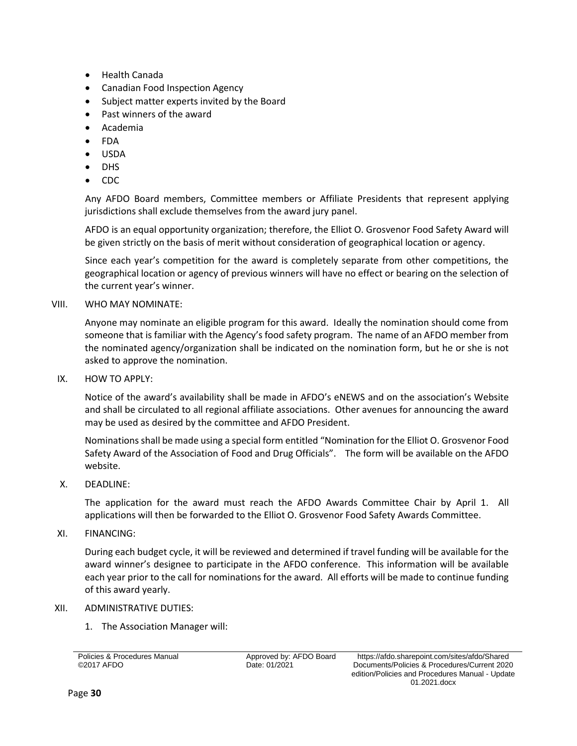- Health Canada
- Canadian Food Inspection Agency
- Subject matter experts invited by the Board
- Past winners of the award
- Academia
- FDA
- USDA
- DHS
- CDC

Any AFDO Board members, Committee members or Affiliate Presidents that represent applying jurisdictions shall exclude themselves from the award jury panel.

AFDO is an equal opportunity organization; therefore, the Elliot O. Grosvenor Food Safety Award will be given strictly on the basis of merit without consideration of geographical location or agency.

Since each year's competition for the award is completely separate from other competitions, the geographical location or agency of previous winners will have no effect or bearing on the selection of the current year's winner.

## VIII. WHO MAY NOMINATE:

Anyone may nominate an eligible program for this award. Ideally the nomination should come from someone that is familiar with the Agency's food safety program. The name of an AFDO member from the nominated agency/organization shall be indicated on the nomination form, but he or she is not asked to approve the nomination.

IX. HOW TO APPLY:

Notice of the award's availability shall be made in AFDO's eNEWS and on the association's Website and shall be circulated to all regional affiliate associations. Other avenues for announcing the award may be used as desired by the committee and AFDO President.

Nominations shall be made using a special form entitled "Nomination for the Elliot O. Grosvenor Food Safety Award of the Association of Food and Drug Officials". The form will be available on the AFDO website.

X. DEADLINE:

The application for the award must reach the AFDO Awards Committee Chair by April 1. All applications will then be forwarded to the Elliot O. Grosvenor Food Safety Awards Committee.

XI. FINANCING:

During each budget cycle, it will be reviewed and determined if travel funding will be available for the award winner's designee to participate in the AFDO conference. This information will be available each year prior to the call for nominations for the award. All efforts will be made to continue funding of this award yearly.

## XII. ADMINISTRATIVE DUTIES:

1. The Association Manager will:

Policies & Procedures Manual ©2017 AFDO

Date: 01/2021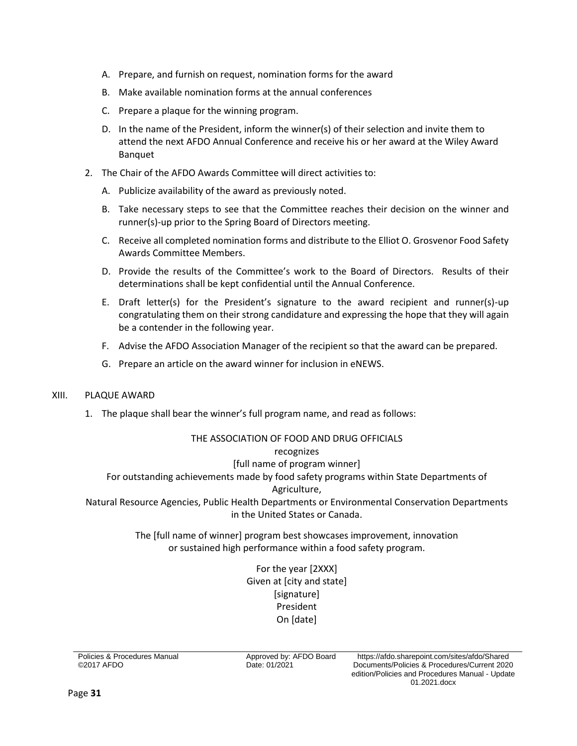- A. Prepare, and furnish on request, nomination forms for the award
- B. Make available nomination forms at the annual conferences
- C. Prepare a plaque for the winning program.
- D. In the name of the President, inform the winner(s) of their selection and invite them to attend the next AFDO Annual Conference and receive his or her award at the Wiley Award Banquet
- 2. The Chair of the AFDO Awards Committee will direct activities to:
	- A. Publicize availability of the award as previously noted.
	- B. Take necessary steps to see that the Committee reaches their decision on the winner and runner(s)-up prior to the Spring Board of Directors meeting.
	- C. Receive all completed nomination forms and distribute to the Elliot O. Grosvenor Food Safety Awards Committee Members.
	- D. Provide the results of the Committee's work to the Board of Directors. Results of their determinations shall be kept confidential until the Annual Conference.
	- E. Draft letter(s) for the President's signature to the award recipient and runner(s)-up congratulating them on their strong candidature and expressing the hope that they will again be a contender in the following year.
	- F. Advise the AFDO Association Manager of the recipient so that the award can be prepared.
	- G. Prepare an article on the award winner for inclusion in eNEWS.

#### XIII. PLAQUE AWARD

1. The plaque shall bear the winner's full program name, and read as follows:

#### THE ASSOCIATION OF FOOD AND DRUG OFFICIALS recognizes

#### [full name of program winner]

For outstanding achievements made by food safety programs within State Departments of

#### Agriculture,

Natural Resource Agencies, Public Health Departments or Environmental Conservation Departments in the United States or Canada.

> The [full name of winner] program best showcases improvement, innovation or sustained high performance within a food safety program.

> > For the year [2XXX] Given at [city and state] [signature] President On [date]

Policies & Procedures Manual ©2017 AFDO

Date: 01/2021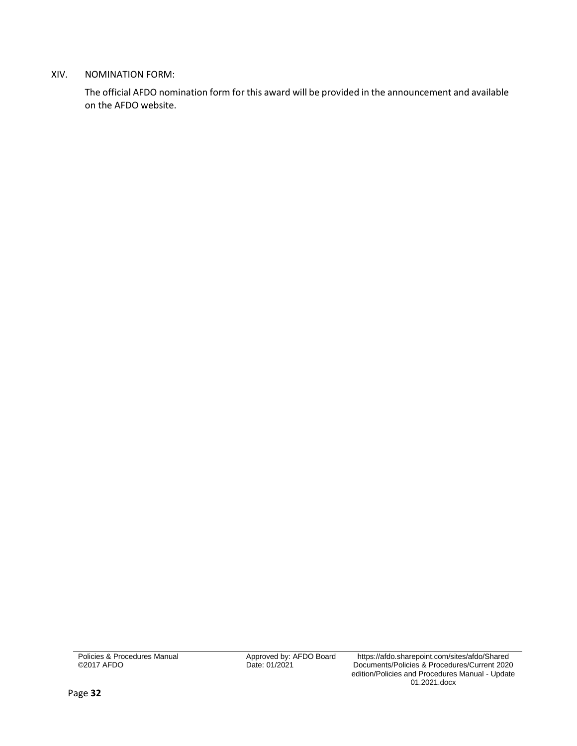# XIV. NOMINATION FORM:

The official AFDO nomination form for this award will be provided in the announcement and available on the AFDO website.

Policies & Procedures Manual ©2017 AFDO

Approved by: AFDO Board<br>Date: 01/2021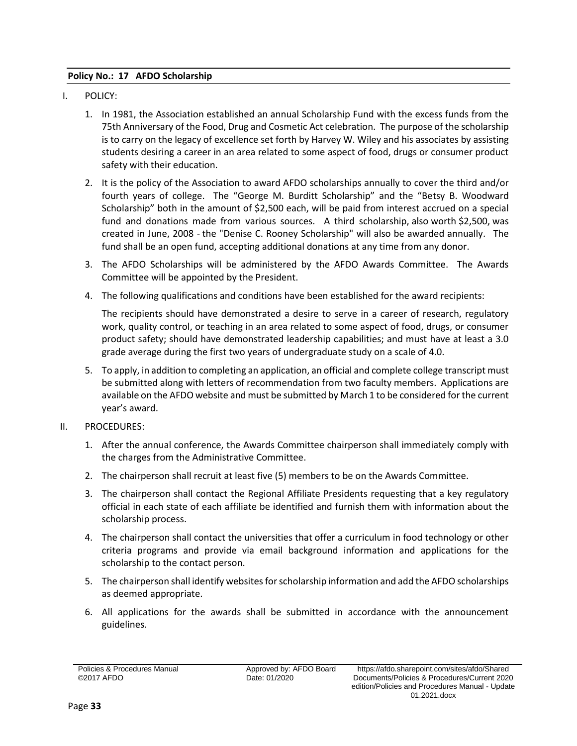# <span id="page-34-0"></span>**Policy No.: 17 AFDO Scholarship**

- I. POLICY:
	- 1. In 1981, the Association established an annual Scholarship Fund with the excess funds from the 75th Anniversary of the Food, Drug and Cosmetic Act celebration. The purpose of the scholarship is to carry on the legacy of excellence set forth by Harvey W. Wiley and his associates by assisting students desiring a career in an area related to some aspect of food, drugs or consumer product safety with their education.
	- 2. It is the policy of the Association to award AFDO scholarships annually to cover the third and/or fourth years of college. The "George M. Burditt Scholarship" and the "Betsy B. Woodward Scholarship" both in the amount of \$2,500 each, will be paid from interest accrued on a special fund and donations made from various sources. A third scholarship, also worth \$2,500, was created in June, 2008 - the "Denise C. Rooney Scholarship" will also be awarded annually. The fund shall be an open fund, accepting additional donations at any time from any donor.
	- 3. The AFDO Scholarships will be administered by the AFDO Awards Committee. The Awards Committee will be appointed by the President.
	- 4. The following qualifications and conditions have been established for the award recipients:

The recipients should have demonstrated a desire to serve in a career of research, regulatory work, quality control, or teaching in an area related to some aspect of food, drugs, or consumer product safety; should have demonstrated leadership capabilities; and must have at least a 3.0 grade average during the first two years of undergraduate study on a scale of 4.0.

- 5. To apply, in addition to completing an application, an official and complete college transcript must be submitted along with letters of recommendation from two faculty members. Applications are available on the AFDO website and must be submitted by March 1 to be considered for the current year's award.
- II. PROCEDURES:
	- 1. After the annual conference, the Awards Committee chairperson shall immediately comply with the charges from the Administrative Committee.
	- 2. The chairperson shall recruit at least five (5) members to be on the Awards Committee.
	- 3. The chairperson shall contact the Regional Affiliate Presidents requesting that a key regulatory official in each state of each affiliate be identified and furnish them with information about the scholarship process.
	- 4. The chairperson shall contact the universities that offer a curriculum in food technology or other criteria programs and provide via email background information and applications for the scholarship to the contact person.
	- 5. The chairperson shall identify websites for scholarship information and add the AFDO scholarships as deemed appropriate.
	- 6. All applications for the awards shall be submitted in accordance with the announcement guidelines.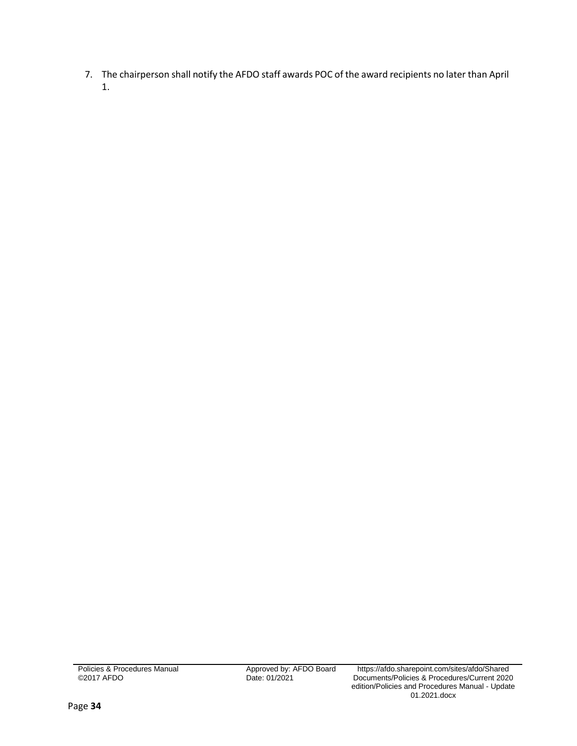7. The chairperson shall notify the AFDO staff awards POC of the award recipients no later than April 1.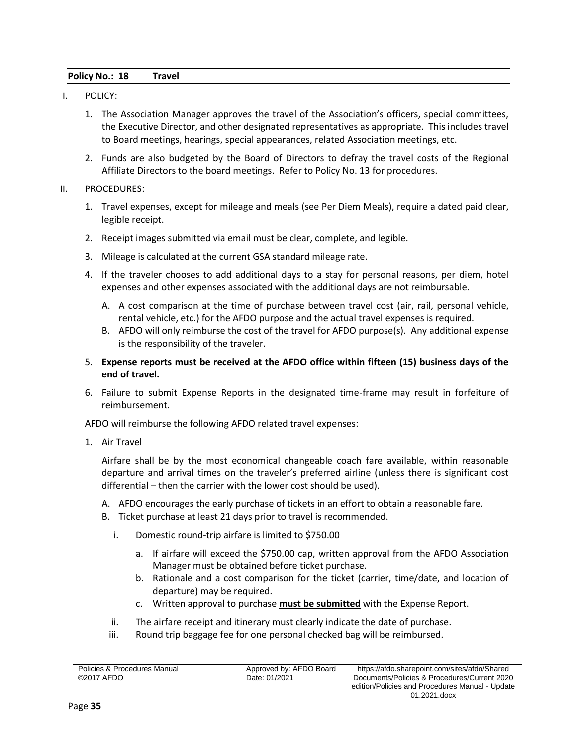#### <span id="page-36-0"></span>**Policy No.: 18 Travel**

- I. POLICY:
	- 1. The Association Manager approves the travel of the Association's officers, special committees, the Executive Director, and other designated representatives as appropriate. This includes travel to Board meetings, hearings, special appearances, related Association meetings, etc.
	- 2. Funds are also budgeted by the Board of Directors to defray the travel costs of the Regional Affiliate Directors to the board meetings. Refer to Policy No. 13 for procedures.

#### II. PROCEDURES:

- 1. Travel expenses, except for mileage and meals (see Per Diem Meals), require a dated paid clear, legible receipt.
- 2. Receipt images submitted via email must be clear, complete, and legible.
- 3. Mileage is calculated at the current GSA standard mileage rate.
- 4. If the traveler chooses to add additional days to a stay for personal reasons, per diem, hotel expenses and other expenses associated with the additional days are not reimbursable.
	- A. A cost comparison at the time of purchase between travel cost (air, rail, personal vehicle, rental vehicle, etc.) for the AFDO purpose and the actual travel expenses is required.
	- B. AFDO will only reimburse the cost of the travel for AFDO purpose(s). Any additional expense is the responsibility of the traveler.
- 5. **Expense reports must be received at the AFDO office within fifteen (15) business days of the end of travel.**
- 6. Failure to submit Expense Reports in the designated time-frame may result in forfeiture of reimbursement.

AFDO will reimburse the following AFDO related travel expenses:

1. Air Travel

Airfare shall be by the most economical changeable coach fare available, within reasonable departure and arrival times on the traveler's preferred airline (unless there is significant cost differential – then the carrier with the lower cost should be used).

- A. AFDO encourages the early purchase of tickets in an effort to obtain a reasonable fare.
- B. Ticket purchase at least 21 days prior to travel is recommended.
	- i. Domestic round-trip airfare is limited to \$750.00
		- a. If airfare will exceed the \$750.00 cap, written approval from the AFDO Association Manager must be obtained before ticket purchase.
		- b. Rationale and a cost comparison for the ticket (carrier, time/date, and location of departure) may be required.
		- c. Written approval to purchase **must be submitted** with the Expense Report.
	- ii. The airfare receipt and itinerary must clearly indicate the date of purchase.
	- iii. Round trip baggage fee for one personal checked bag will be reimbursed.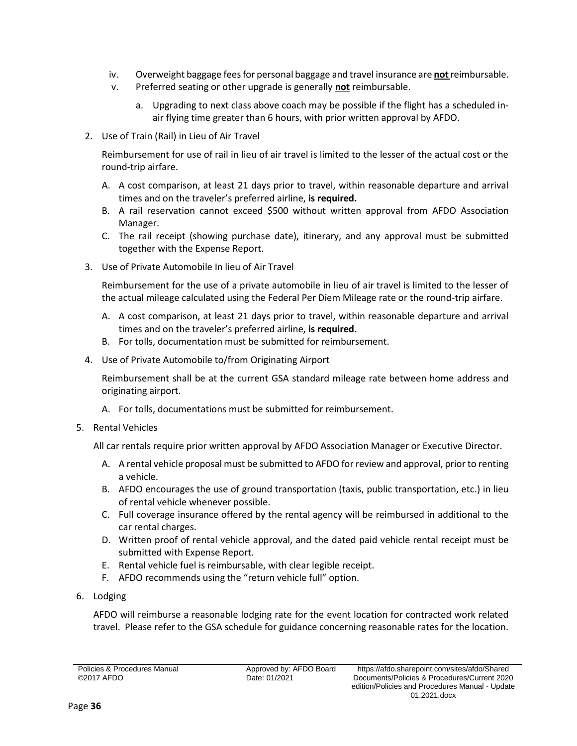- iv. Overweight baggage fees for personal baggage and travel insurance are **not**reimbursable.
- v. Preferred seating or other upgrade is generally **not** reimbursable.
	- a. Upgrading to next class above coach may be possible if the flight has a scheduled inair flying time greater than 6 hours, with prior written approval by AFDO.
- 2. Use of Train (Rail) in Lieu of Air Travel

Reimbursement for use of rail in lieu of air travel is limited to the lesser of the actual cost or the round-trip airfare.

- A. A cost comparison, at least 21 days prior to travel, within reasonable departure and arrival times and on the traveler's preferred airline, **is required.**
- B. A rail reservation cannot exceed \$500 without written approval from AFDO Association Manager.
- C. The rail receipt (showing purchase date), itinerary, and any approval must be submitted together with the Expense Report.
- 3. Use of Private Automobile In lieu of Air Travel

Reimbursement for the use of a private automobile in lieu of air travel is limited to the lesser of the actual mileage calculated using the Federal Per Diem Mileage rate or the round-trip airfare.

- A. A cost comparison, at least 21 days prior to travel, within reasonable departure and arrival times and on the traveler's preferred airline, **is required.**
- B. For tolls, documentation must be submitted for reimbursement.
- 4. Use of Private Automobile to/from Originating Airport

Reimbursement shall be at the current GSA standard mileage rate between home address and originating airport.

- A. For tolls, documentations must be submitted for reimbursement.
- 5. Rental Vehicles

All car rentals require prior written approval by AFDO Association Manager or Executive Director.

- A. A rental vehicle proposal must be submitted to AFDO for review and approval, prior to renting a vehicle.
- B. AFDO encourages the use of ground transportation (taxis, public transportation, etc.) in lieu of rental vehicle whenever possible.
- C. Full coverage insurance offered by the rental agency will be reimbursed in additional to the car rental charges.
- D. Written proof of rental vehicle approval, and the dated paid vehicle rental receipt must be submitted with Expense Report.
- E. Rental vehicle fuel is reimbursable, with clear legible receipt.
- F. AFDO recommends using the "return vehicle full" option.
- 6. Lodging

AFDO will reimburse a reasonable lodging rate for the event location for contracted work related travel. Please refer to the GSA schedule for guidance concerning reasonable rates for the location.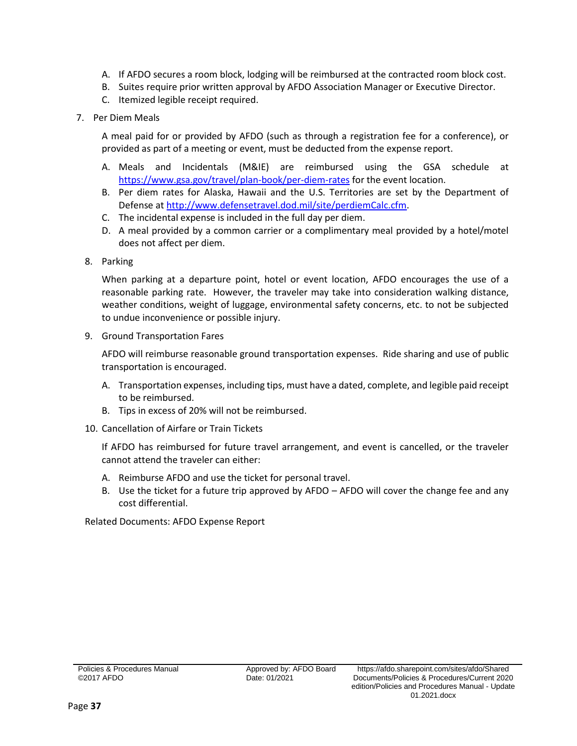- A. If AFDO secures a room block, lodging will be reimbursed at the contracted room block cost.
- B. Suites require prior written approval by AFDO Association Manager or Executive Director.
- C. Itemized legible receipt required.
- 7. Per Diem Meals

A meal paid for or provided by AFDO (such as through a registration fee for a conference), or provided as part of a meeting or event, must be deducted from the expense report.

- A. Meals and Incidentals (M&IE) are reimbursed using the GSA schedule at <https://www.gsa.gov/travel/plan-book/per-diem-rates> for the event location.
- B. Per diem rates for Alaska, Hawaii and the U.S. Territories are set by the Department of Defense a[t http://www.defensetravel.dod.mil/site/perdiemCalc.cfm.](http://www.defensetravel.dod.mil/site/perdiemCalc.cfm)
- C. The incidental expense is included in the full day per diem.
- D. A meal provided by a common carrier or a complimentary meal provided by a hotel/motel does not affect per diem.
- 8. Parking

When parking at a departure point, hotel or event location, AFDO encourages the use of a reasonable parking rate. However, the traveler may take into consideration walking distance, weather conditions, weight of luggage, environmental safety concerns, etc. to not be subjected to undue inconvenience or possible injury.

9. Ground Transportation Fares

AFDO will reimburse reasonable ground transportation expenses. Ride sharing and use of public transportation is encouraged.

- A. Transportation expenses, including tips, must have a dated, complete, and legible paid receipt to be reimbursed.
- B. Tips in excess of 20% will not be reimbursed.
- 10. Cancellation of Airfare or Train Tickets

If AFDO has reimbursed for future travel arrangement, and event is cancelled, or the traveler cannot attend the traveler can either:

- A. Reimburse AFDO and use the ticket for personal travel.
- B. Use the ticket for a future trip approved by AFDO AFDO will cover the change fee and any cost differential.

Related Documents: AFDO Expense Report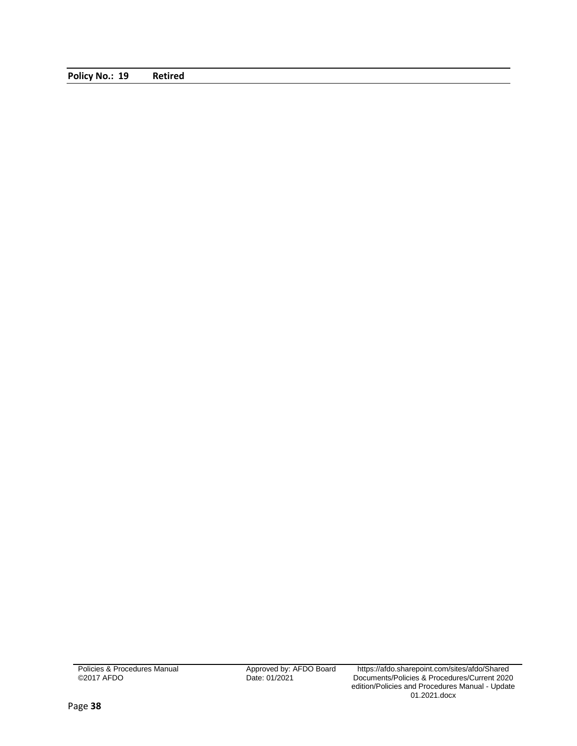<span id="page-39-0"></span>**Policy No.: 19 Retired**

Policies & Procedures Manual ©2017 AFDO

Approved by: AFDO Board<br>Date: 01/2021

Approved by: AFDO Board https://afdo.sharepoint.com/sites/afdo/Shared Documents/Policies & Procedures/Current 2020 edition/Policies and Procedures Manual - Update 01.2021.docx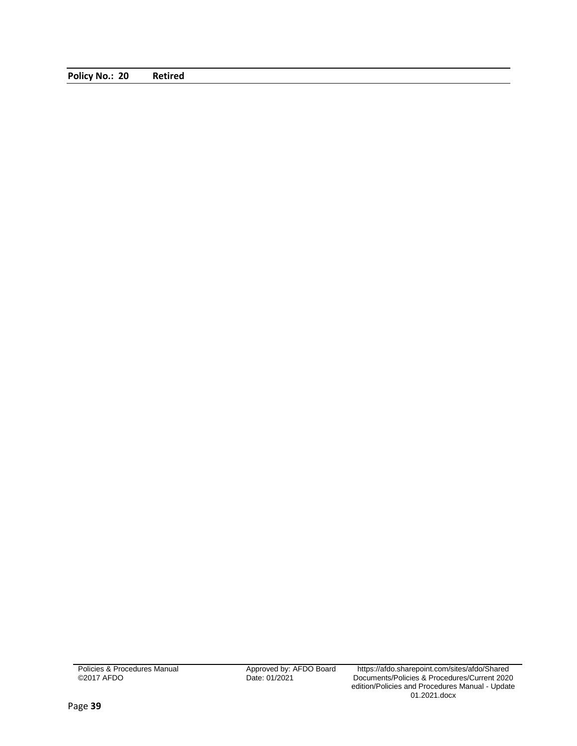<span id="page-40-0"></span>**Policy No.: 20 Retired**

Policies & Procedures Manual ©2017 AFDO

Approved by: AFDO Board<br>Date: 01/2021

Approved by: AFDO Board https://afdo.sharepoint.com/sites/afdo/Shared Documents/Policies & Procedures/Current 2020 edition/Policies and Procedures Manual - Update 01.2021.docx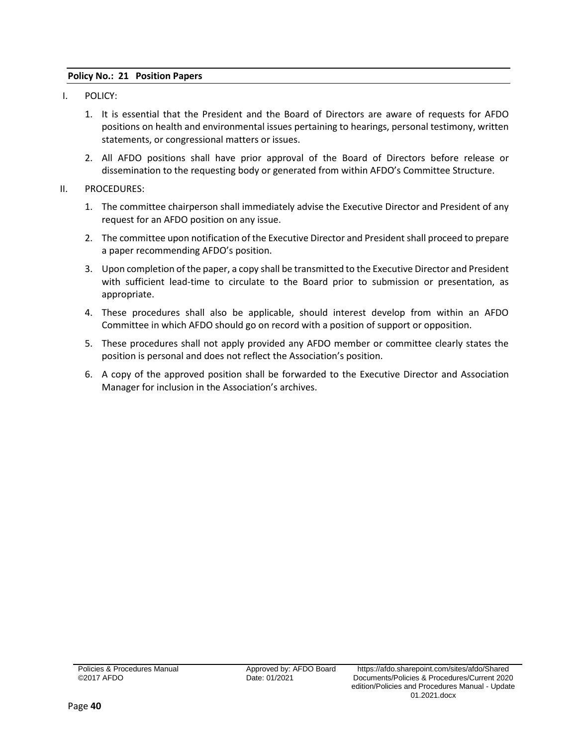### <span id="page-41-0"></span>**Policy No.: 21 Position Papers**

- I. POLICY:
	- 1. It is essential that the President and the Board of Directors are aware of requests for AFDO positions on health and environmental issues pertaining to hearings, personal testimony, written statements, or congressional matters or issues.
	- 2. All AFDO positions shall have prior approval of the Board of Directors before release or dissemination to the requesting body or generated from within AFDO's Committee Structure.
- II. PROCEDURES:
	- 1. The committee chairperson shall immediately advise the Executive Director and President of any request for an AFDO position on any issue.
	- 2. The committee upon notification of the Executive Director and President shall proceed to prepare a paper recommending AFDO's position.
	- 3. Upon completion of the paper, a copy shall be transmitted to the Executive Director and President with sufficient lead-time to circulate to the Board prior to submission or presentation, as appropriate.
	- 4. These procedures shall also be applicable, should interest develop from within an AFDO Committee in which AFDO should go on record with a position of support or opposition.
	- 5. These procedures shall not apply provided any AFDO member or committee clearly states the position is personal and does not reflect the Association's position.
	- 6. A copy of the approved position shall be forwarded to the Executive Director and Association Manager for inclusion in the Association's archives.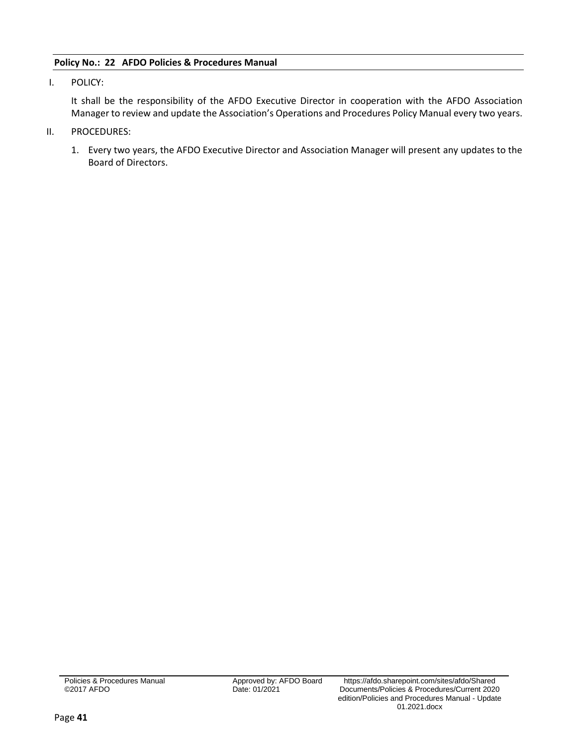# <span id="page-42-0"></span>**Policy No.: 22 AFDO Policies & Procedures Manual**

I. POLICY:

It shall be the responsibility of the AFDO Executive Director in cooperation with the AFDO Association Manager to review and update the Association's Operations and Procedures Policy Manual every two years.

- II. PROCEDURES:
	- 1. Every two years, the AFDO Executive Director and Association Manager will present any updates to the Board of Directors.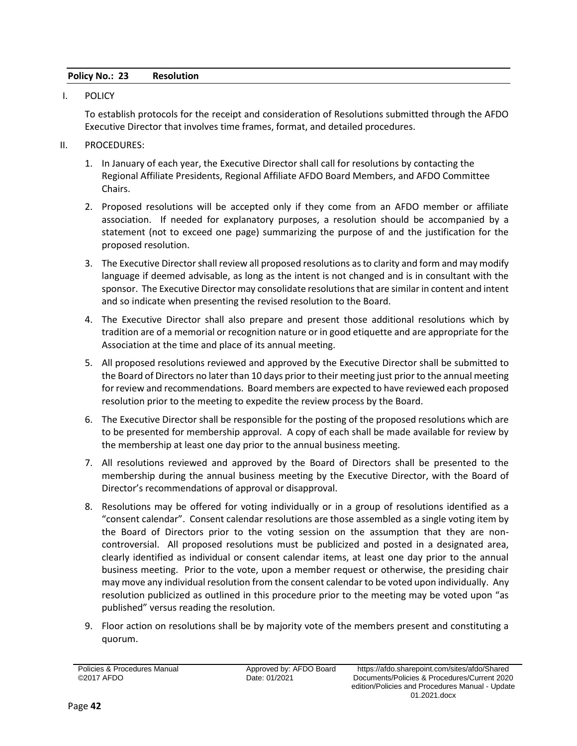# <span id="page-43-0"></span>**Policy No.: 23 Resolution**

I. POLICY

To establish protocols for the receipt and consideration of Resolutions submitted through the AFDO Executive Director that involves time frames, format, and detailed procedures.

- II. PROCEDURES:
	- 1. In January of each year, the Executive Director shall call for resolutions by contacting the Regional Affiliate Presidents, Regional Affiliate AFDO Board Members, and AFDO Committee Chairs.
	- 2. Proposed resolutions will be accepted only if they come from an AFDO member or affiliate association. If needed for explanatory purposes, a resolution should be accompanied by a statement (not to exceed one page) summarizing the purpose of and the justification for the proposed resolution.
	- 3. The Executive Director shall review all proposed resolutions as to clarity and form and may modify language if deemed advisable, as long as the intent is not changed and is in consultant with the sponsor. The Executive Director may consolidate resolutions that are similar in content and intent and so indicate when presenting the revised resolution to the Board.
	- 4. The Executive Director shall also prepare and present those additional resolutions which by tradition are of a memorial or recognition nature or in good etiquette and are appropriate for the Association at the time and place of its annual meeting.
	- 5. All proposed resolutions reviewed and approved by the Executive Director shall be submitted to the Board of Directors no later than 10 days prior to their meeting just prior to the annual meeting for review and recommendations. Board members are expected to have reviewed each proposed resolution prior to the meeting to expedite the review process by the Board.
	- 6. The Executive Director shall be responsible for the posting of the proposed resolutions which are to be presented for membership approval. A copy of each shall be made available for review by the membership at least one day prior to the annual business meeting.
	- 7. All resolutions reviewed and approved by the Board of Directors shall be presented to the membership during the annual business meeting by the Executive Director, with the Board of Director's recommendations of approval or disapproval.
	- 8. Resolutions may be offered for voting individually or in a group of resolutions identified as a "consent calendar". Consent calendar resolutions are those assembled as a single voting item by the Board of Directors prior to the voting session on the assumption that they are noncontroversial. All proposed resolutions must be publicized and posted in a designated area, clearly identified as individual or consent calendar items, at least one day prior to the annual business meeting. Prior to the vote, upon a member request or otherwise, the presiding chair may move any individual resolution from the consent calendar to be voted upon individually. Any resolution publicized as outlined in this procedure prior to the meeting may be voted upon "as published" versus reading the resolution.
	- 9. Floor action on resolutions shall be by majority vote of the members present and constituting a quorum.

Policies & Procedures Manual ©2017 AFDO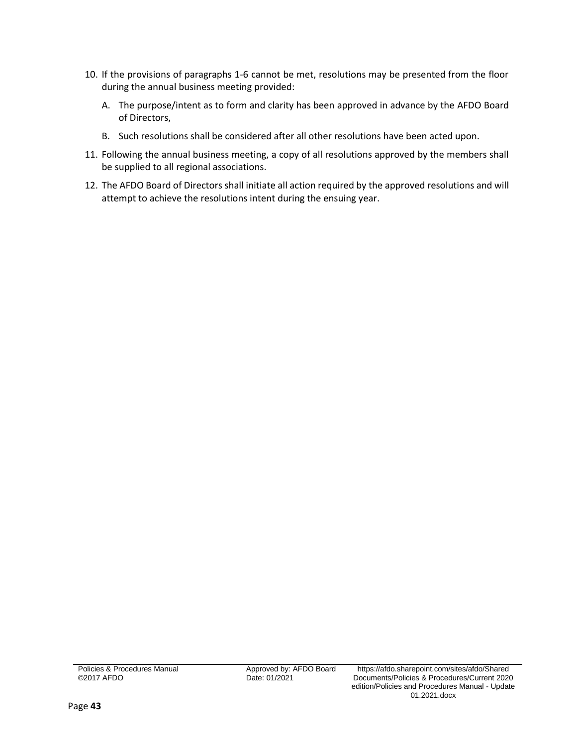- 10. If the provisions of paragraphs 1-6 cannot be met, resolutions may be presented from the floor during the annual business meeting provided:
	- A. The purpose/intent as to form and clarity has been approved in advance by the AFDO Board of Directors,
	- B. Such resolutions shall be considered after all other resolutions have been acted upon.
- 11. Following the annual business meeting, a copy of all resolutions approved by the members shall be supplied to all regional associations.
- 12. The AFDO Board of Directors shall initiate all action required by the approved resolutions and will attempt to achieve the resolutions intent during the ensuing year.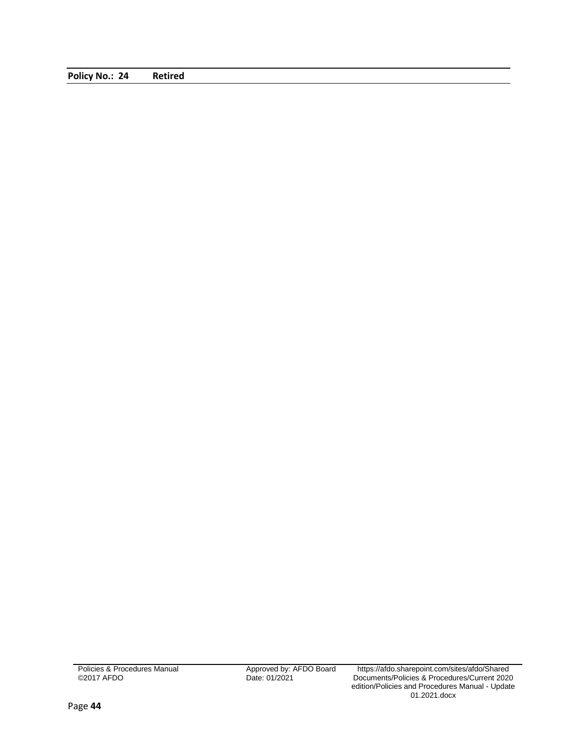<span id="page-45-0"></span>**Policy No.: 24 Retired**

Policies & Procedures Manual ©2017 AFDO

Approved by: AFDO Board<br>Date: 01/2021

Approved by: AFDO Board https://afdo.sharepoint.com/sites/afdo/Shared Documents/Policies & Procedures/Current 2020 edition/Policies and Procedures Manual - Update 01.2021.docx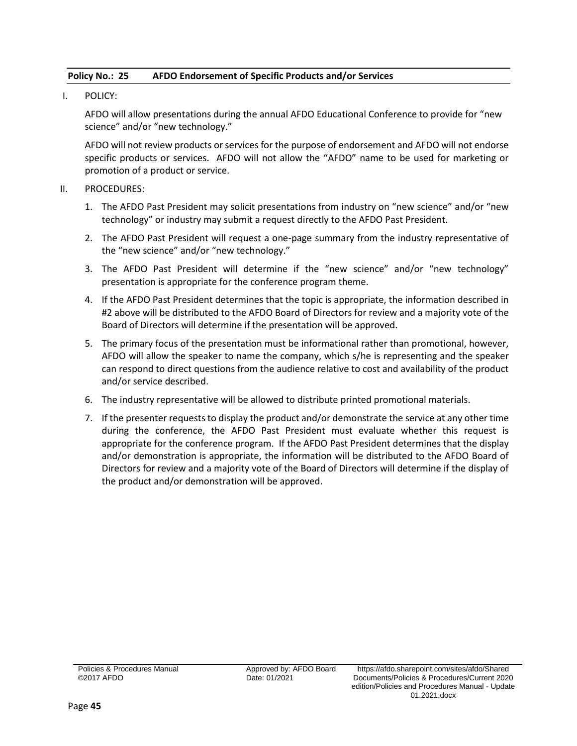# <span id="page-46-0"></span>**Policy No.: 25 AFDO Endorsement of Specific Products and/or Services**

I. POLICY:

AFDO will allow presentations during the annual AFDO Educational Conference to provide for "new science" and/or "new technology."

AFDO will not review products or services for the purpose of endorsement and AFDO will not endorse specific products or services. AFDO will not allow the "AFDO" name to be used for marketing or promotion of a product or service.

## II. PROCEDURES:

- 1. The AFDO Past President may solicit presentations from industry on "new science" and/or "new technology" or industry may submit a request directly to the AFDO Past President.
- 2. The AFDO Past President will request a one-page summary from the industry representative of the "new science" and/or "new technology."
- 3. The AFDO Past President will determine if the "new science" and/or "new technology" presentation is appropriate for the conference program theme.
- 4. If the AFDO Past President determines that the topic is appropriate, the information described in #2 above will be distributed to the AFDO Board of Directors for review and a majority vote of the Board of Directors will determine if the presentation will be approved.
- 5. The primary focus of the presentation must be informational rather than promotional, however, AFDO will allow the speaker to name the company, which s/he is representing and the speaker can respond to direct questions from the audience relative to cost and availability of the product and/or service described.
- 6. The industry representative will be allowed to distribute printed promotional materials.
- 7. If the presenter requests to display the product and/or demonstrate the service at any other time during the conference, the AFDO Past President must evaluate whether this request is appropriate for the conference program. If the AFDO Past President determines that the display and/or demonstration is appropriate, the information will be distributed to the AFDO Board of Directors for review and a majority vote of the Board of Directors will determine if the display of the product and/or demonstration will be approved.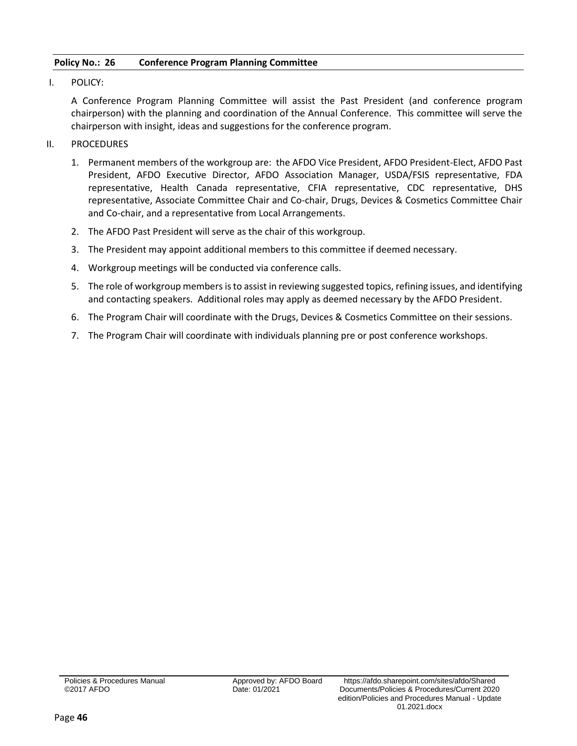# <span id="page-47-0"></span>**Policy No.: 26 Conference Program Planning Committee**

I. POLICY:

A Conference Program Planning Committee will assist the Past President (and conference program chairperson) with the planning and coordination of the Annual Conference. This committee will serve the chairperson with insight, ideas and suggestions for the conference program.

- II. PROCEDURES
	- 1. Permanent members of the workgroup are: the AFDO Vice President, AFDO President-Elect, AFDO Past President, AFDO Executive Director, AFDO Association Manager, USDA/FSIS representative, FDA representative, Health Canada representative, CFIA representative, CDC representative, DHS representative, Associate Committee Chair and Co-chair, Drugs, Devices & Cosmetics Committee Chair and Co-chair, and a representative from Local Arrangements.
	- 2. The AFDO Past President will serve as the chair of this workgroup.
	- 3. The President may appoint additional members to this committee if deemed necessary.
	- 4. Workgroup meetings will be conducted via conference calls.
	- 5. The role of workgroup members is to assist in reviewing suggested topics, refining issues, and identifying and contacting speakers. Additional roles may apply as deemed necessary by the AFDO President.
	- 6. The Program Chair will coordinate with the Drugs, Devices & Cosmetics Committee on their sessions.
	- 7. The Program Chair will coordinate with individuals planning pre or post conference workshops.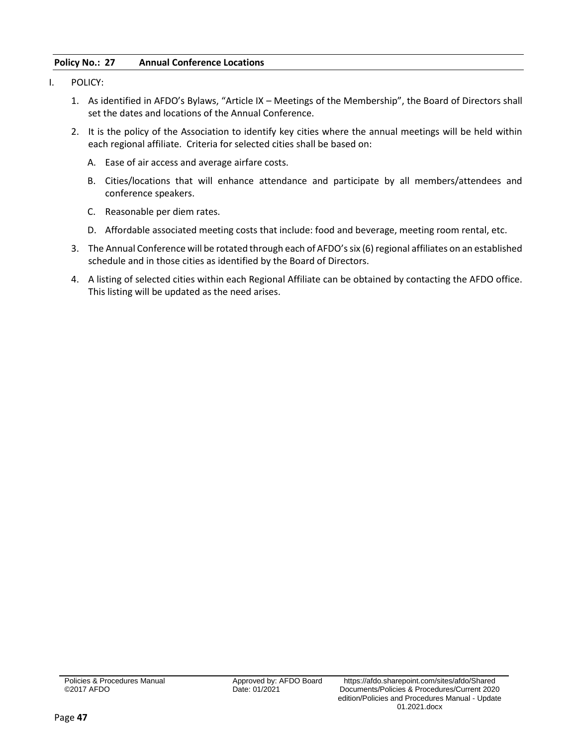# <span id="page-48-0"></span>**Policy No.: 27 Annual Conference Locations**

- I. POLICY:
	- 1. As identified in AFDO's Bylaws, "Article IX Meetings of the Membership", the Board of Directors shall set the dates and locations of the Annual Conference.
	- 2. It is the policy of the Association to identify key cities where the annual meetings will be held within each regional affiliate. Criteria for selected cities shall be based on:
		- A. Ease of air access and average airfare costs.
		- B. Cities/locations that will enhance attendance and participate by all members/attendees and conference speakers.
		- C. Reasonable per diem rates.
		- D. Affordable associated meeting costs that include: food and beverage, meeting room rental, etc.
	- 3. The Annual Conference will be rotated through each of AFDO's six (6) regional affiliates on an established schedule and in those cities as identified by the Board of Directors.
	- 4. A listing of selected cities within each Regional Affiliate can be obtained by contacting the AFDO office. This listing will be updated as the need arises.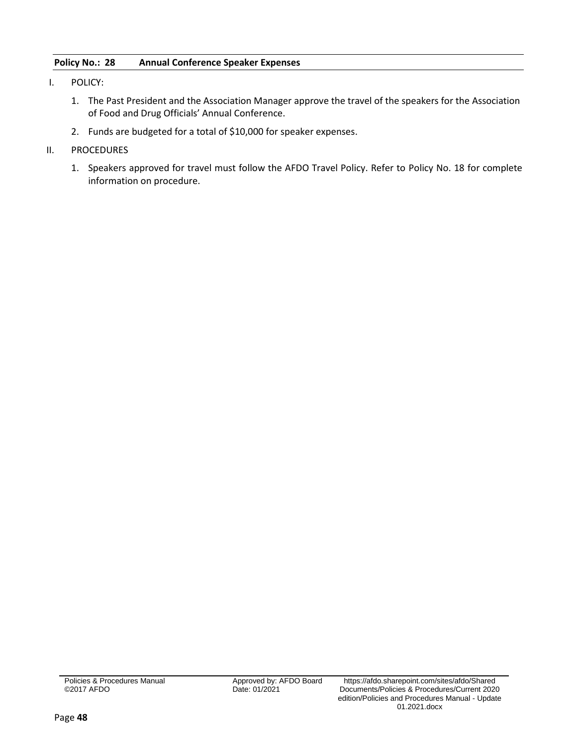# <span id="page-49-0"></span>**Policy No.: 28 Annual Conference Speaker Expenses**

- I. POLICY:
	- 1. The Past President and the Association Manager approve the travel of the speakers for the Association of Food and Drug Officials' Annual Conference.
	- 2. Funds are budgeted for a total of \$10,000 for speaker expenses.
- II. PROCEDURES
	- 1. Speakers approved for travel must follow the AFDO Travel Policy. Refer to Policy No. 18 for complete information on procedure.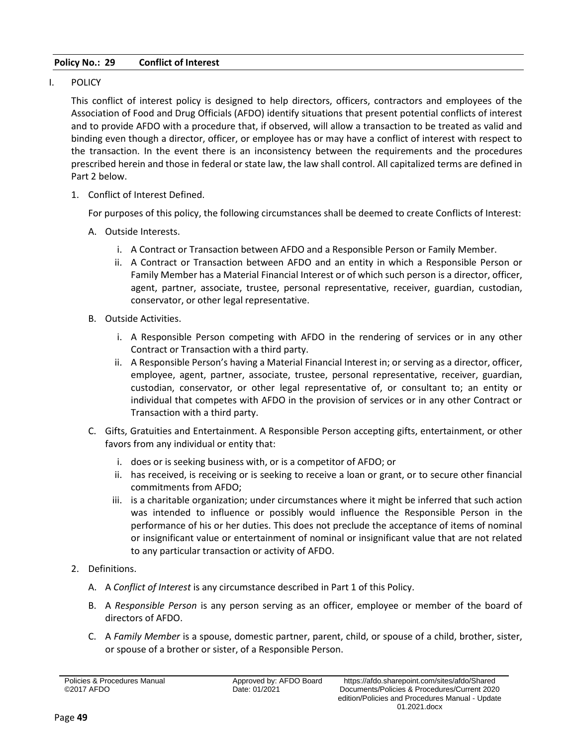# <span id="page-50-0"></span>**Policy No.: 29 Conflict of Interest**

I. POLICY

This conflict of interest policy is designed to help directors, officers, contractors and employees of the Association of Food and Drug Officials (AFDO) identify situations that present potential conflicts of interest and to provide AFDO with a procedure that, if observed, will allow a transaction to be treated as valid and binding even though a director, officer, or employee has or may have a conflict of interest with respect to the transaction. In the event there is an inconsistency between the requirements and the procedures prescribed herein and those in federal or state law, the law shall control. All capitalized terms are defined in Part 2 below.

1. Conflict of Interest Defined.

For purposes of this policy, the following circumstances shall be deemed to create Conflicts of Interest:

- A. Outside Interests.
	- i. A Contract or Transaction between AFDO and a Responsible Person or Family Member.
	- ii. A Contract or Transaction between AFDO and an entity in which a Responsible Person or Family Member has a Material Financial Interest or of which such person is a director, officer, agent, partner, associate, trustee, personal representative, receiver, guardian, custodian, conservator, or other legal representative.
- B. Outside Activities.
	- i. A Responsible Person competing with AFDO in the rendering of services or in any other Contract or Transaction with a third party.
	- ii. A Responsible Person's having a Material Financial Interest in; or serving as a director, officer, employee, agent, partner, associate, trustee, personal representative, receiver, guardian, custodian, conservator, or other legal representative of, or consultant to; an entity or individual that competes with AFDO in the provision of services or in any other Contract or Transaction with a third party.
- C. Gifts, Gratuities and Entertainment. A Responsible Person accepting gifts, entertainment, or other favors from any individual or entity that:
	- i. does or is seeking business with, or is a competitor of AFDO; or
	- ii. has received, is receiving or is seeking to receive a loan or grant, or to secure other financial commitments from AFDO;
	- iii. is a charitable organization; under circumstances where it might be inferred that such action was intended to influence or possibly would influence the Responsible Person in the performance of his or her duties. This does not preclude the acceptance of items of nominal or insignificant value or entertainment of nominal or insignificant value that are not related to any particular transaction or activity of AFDO.
- 2. Definitions.
	- A. A *Conflict of Interest* is any circumstance described in Part 1 of this Policy.
	- B. A *Responsible Person* is any person serving as an officer, employee or member of the board of directors of AFDO.
	- C. A *Family Member* is a spouse, domestic partner, parent, child, or spouse of a child, brother, sister, or spouse of a brother or sister, of a Responsible Person.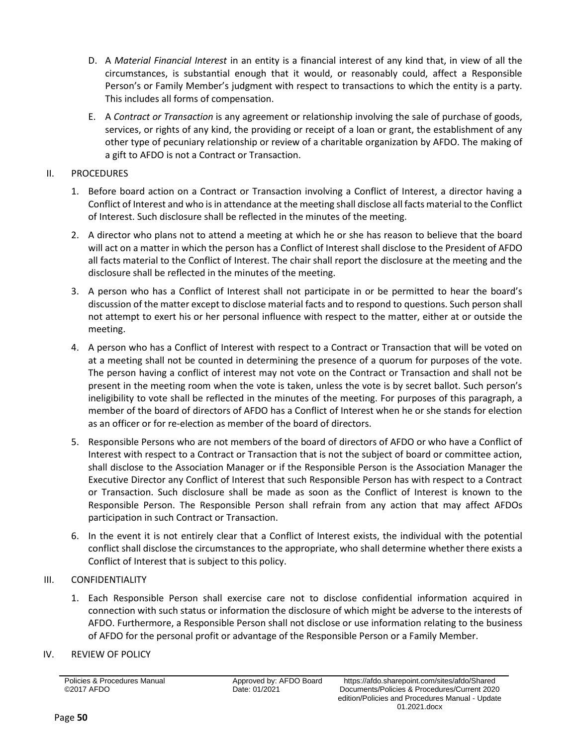- D. A *Material Financial Interest* in an entity is a financial interest of any kind that, in view of all the circumstances, is substantial enough that it would, or reasonably could, affect a Responsible Person's or Family Member's judgment with respect to transactions to which the entity is a party. This includes all forms of compensation.
- E. A *Contract or Transaction* is any agreement or relationship involving the sale of purchase of goods, services, or rights of any kind, the providing or receipt of a loan or grant, the establishment of any other type of pecuniary relationship or review of a charitable organization by AFDO. The making of a gift to AFDO is not a Contract or Transaction.

# II. PROCEDURES

- 1. Before board action on a Contract or Transaction involving a Conflict of Interest, a director having a Conflict of Interest and who is in attendance at the meeting shall disclose all facts material to the Conflict of Interest. Such disclosure shall be reflected in the minutes of the meeting.
- 2. A director who plans not to attend a meeting at which he or she has reason to believe that the board will act on a matter in which the person has a Conflict of Interest shall disclose to the President of AFDO all facts material to the Conflict of Interest. The chair shall report the disclosure at the meeting and the disclosure shall be reflected in the minutes of the meeting.
- 3. A person who has a Conflict of Interest shall not participate in or be permitted to hear the board's discussion of the matter except to disclose material facts and to respond to questions. Such person shall not attempt to exert his or her personal influence with respect to the matter, either at or outside the meeting.
- 4. A person who has a Conflict of Interest with respect to a Contract or Transaction that will be voted on at a meeting shall not be counted in determining the presence of a quorum for purposes of the vote. The person having a conflict of interest may not vote on the Contract or Transaction and shall not be present in the meeting room when the vote is taken, unless the vote is by secret ballot. Such person's ineligibility to vote shall be reflected in the minutes of the meeting. For purposes of this paragraph, a member of the board of directors of AFDO has a Conflict of Interest when he or she stands for election as an officer or for re-election as member of the board of directors.
- 5. Responsible Persons who are not members of the board of directors of AFDO or who have a Conflict of Interest with respect to a Contract or Transaction that is not the subject of board or committee action, shall disclose to the Association Manager or if the Responsible Person is the Association Manager the Executive Director any Conflict of Interest that such Responsible Person has with respect to a Contract or Transaction. Such disclosure shall be made as soon as the Conflict of Interest is known to the Responsible Person. The Responsible Person shall refrain from any action that may affect AFDOs participation in such Contract or Transaction.
- 6. In the event it is not entirely clear that a Conflict of Interest exists, the individual with the potential conflict shall disclose the circumstances to the appropriate, who shall determine whether there exists a Conflict of Interest that is subject to this policy.

# III. CONFIDENTIALITY

- 1. Each Responsible Person shall exercise care not to disclose confidential information acquired in connection with such status or information the disclosure of which might be adverse to the interests of AFDO. Furthermore, a Responsible Person shall not disclose or use information relating to the business of AFDO for the personal profit or advantage of the Responsible Person or a Family Member.
- IV. REVIEW OF POLICY

Policies & Procedures Manual ©2017 AFDO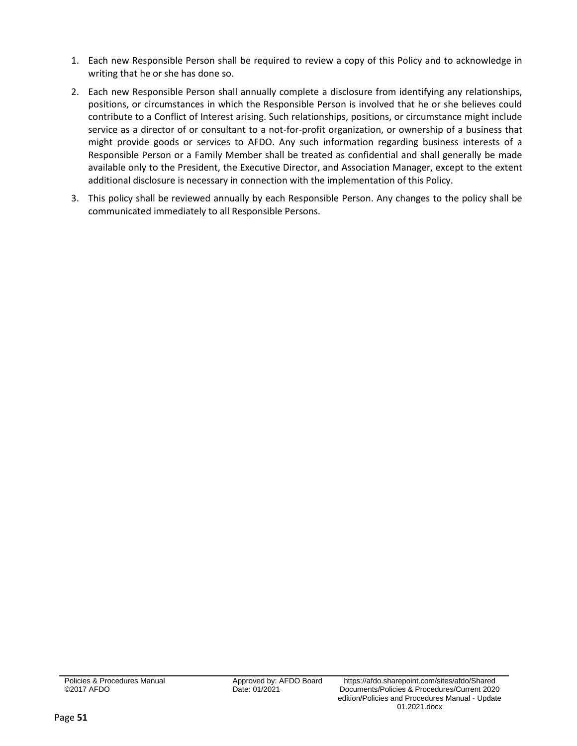- 1. Each new Responsible Person shall be required to review a copy of this Policy and to acknowledge in writing that he or she has done so.
- 2. Each new Responsible Person shall annually complete a disclosure from identifying any relationships, positions, or circumstances in which the Responsible Person is involved that he or she believes could contribute to a Conflict of Interest arising. Such relationships, positions, or circumstance might include service as a director of or consultant to a not-for-profit organization, or ownership of a business that might provide goods or services to AFDO. Any such information regarding business interests of a Responsible Person or a Family Member shall be treated as confidential and shall generally be made available only to the President, the Executive Director, and Association Manager, except to the extent additional disclosure is necessary in connection with the implementation of this Policy.
- 3. This policy shall be reviewed annually by each Responsible Person. Any changes to the policy shall be communicated immediately to all Responsible Persons.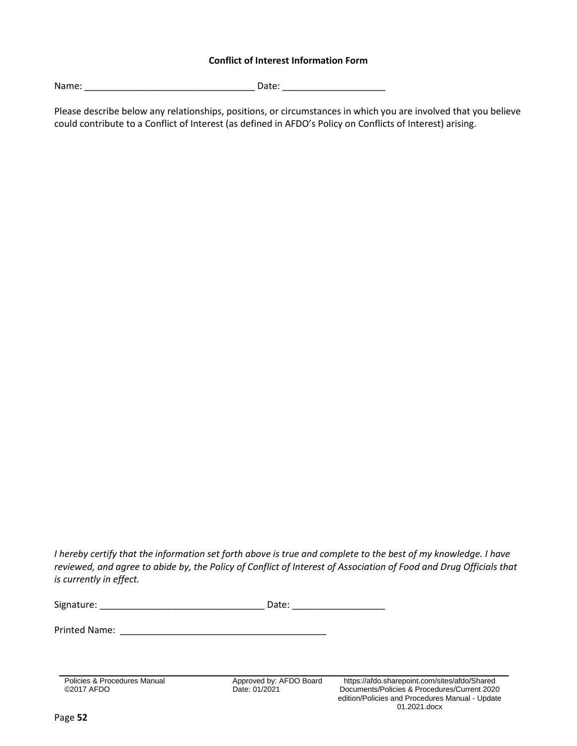# **Conflict of Interest Information Form**

Name: \_\_\_\_\_\_\_\_\_\_\_\_\_\_\_\_\_\_\_\_\_\_\_\_\_\_\_\_\_\_\_\_\_ Date: \_\_\_\_\_\_\_\_\_\_\_\_\_\_\_\_\_\_\_\_

Please describe below any relationships, positions, or circumstances in which you are involved that you believe could contribute to a Conflict of Interest (as defined in AFDO's Policy on Conflicts of Interest) arising.

*I hereby certify that the information set forth above is true and complete to the best of my knowledge. I have*  reviewed, and agree to abide by, the Policy of Conflict of Interest of Association of Food and Drug Officials that *is currently in effect.* 

| Signature: | Date: |
|------------|-------|
|            |       |

Printed Name: \_\_\_\_\_\_\_\_\_\_\_\_\_\_\_\_\_\_\_\_\_\_\_\_\_\_\_\_\_\_\_\_\_\_\_\_\_\_\_\_

Policies & Procedures Manual ©2017 AFDO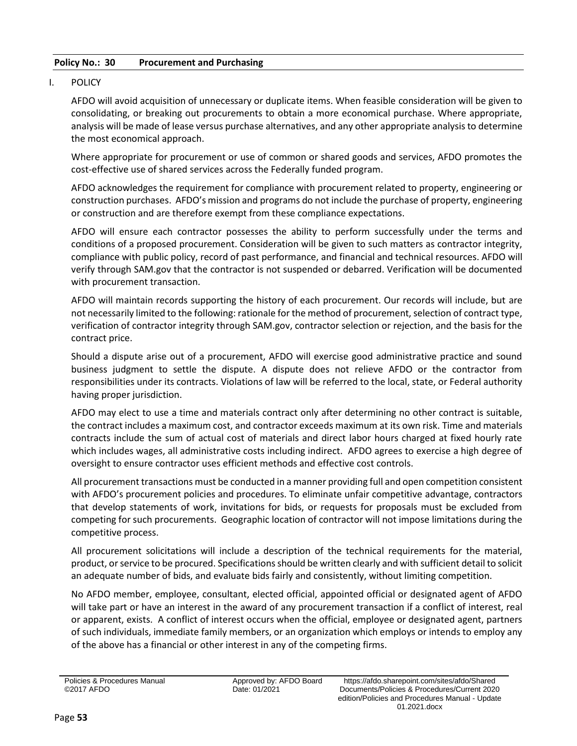# <span id="page-54-0"></span>**Policy No.: 30 Procurement and Purchasing**

# I. POLICY

AFDO will avoid acquisition of unnecessary or duplicate items. When feasible consideration will be given to consolidating, or breaking out procurements to obtain a more economical purchase. Where appropriate, analysis will be made of lease versus purchase alternatives, and any other appropriate analysis to determine the most economical approach.

Where appropriate for procurement or use of common or shared goods and services, AFDO promotes the cost-effective use of shared services across the Federally funded program.

AFDO acknowledges the requirement for compliance with procurement related to property, engineering or construction purchases. AFDO's mission and programs do not include the purchase of property, engineering or construction and are therefore exempt from these compliance expectations.

AFDO will ensure each contractor possesses the ability to perform successfully under the terms and conditions of a proposed procurement. Consideration will be given to such matters as contractor integrity, compliance with public policy, record of past performance, and financial and technical resources. AFDO will verify through SAM.gov that the contractor is not suspended or debarred. Verification will be documented with procurement transaction.

AFDO will maintain records supporting the history of each procurement. Our records will include, but are not necessarily limited to the following: rationale for the method of procurement, selection of contract type, verification of contractor integrity through SAM.gov, contractor selection or rejection, and the basis for the contract price.

Should a dispute arise out of a procurement, AFDO will exercise good administrative practice and sound business judgment to settle the dispute. A dispute does not relieve AFDO or the contractor from responsibilities under its contracts. Violations of law will be referred to the local, state, or Federal authority having proper jurisdiction.

AFDO may elect to use a time and materials contract only after determining no other contract is suitable, the contract includes a maximum cost, and contractor exceeds maximum at its own risk. Time and materials contracts include the sum of actual cost of materials and direct labor hours charged at fixed hourly rate which includes wages, all administrative costs including indirect. AFDO agrees to exercise a high degree of oversight to ensure contractor uses efficient methods and effective cost controls.

All procurement transactions must be conducted in a manner providing full and open competition consistent with AFDO's procurement policies and procedures. To eliminate unfair competitive advantage, contractors that develop statements of work, invitations for bids, or requests for proposals must be excluded from competing for such procurements. Geographic location of contractor will not impose limitations during the competitive process.

All procurement solicitations will include a description of the technical requirements for the material, product, or service to be procured. Specifications should be written clearly and with sufficient detail to solicit an adequate number of bids, and evaluate bids fairly and consistently, without limiting competition.

No AFDO member, employee, consultant, elected official, appointed official or designated agent of AFDO will take part or have an interest in the award of any procurement transaction if a conflict of interest, real or apparent, exists. A conflict of interest occurs when the official, employee or designated agent, partners of such individuals, immediate family members, or an organization which employs or intends to employ any of the above has a financial or other interest in any of the competing firms.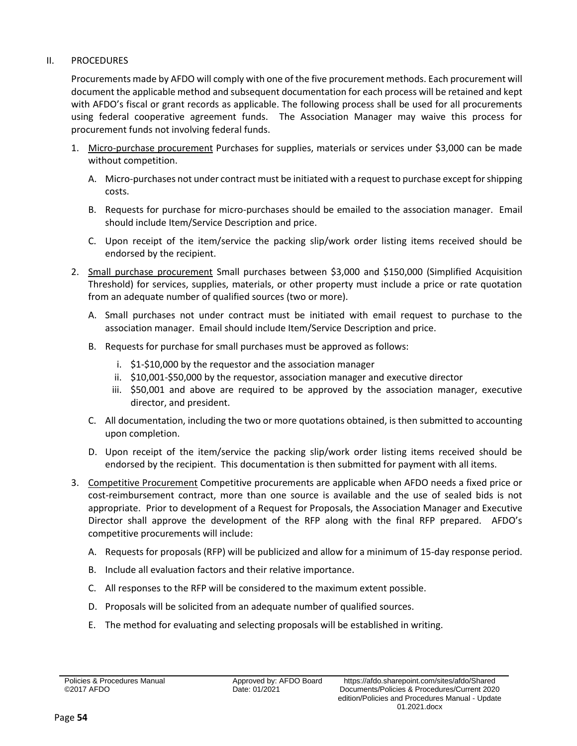# II. PROCEDURES

Procurements made by AFDO will comply with one of the five procurement methods. Each procurement will document the applicable method and subsequent documentation for each process will be retained and kept with AFDO's fiscal or grant records as applicable. The following process shall be used for all procurements using federal cooperative agreement funds. The Association Manager may waive this process for procurement funds not involving federal funds.

- 1. Micro-purchase procurement Purchases for supplies, materials or services under \$3,000 can be made without competition.
	- A. Micro-purchases not under contract must be initiated with a request to purchase except for shipping costs.
	- B. Requests for purchase for micro-purchases should be emailed to the association manager. Email should include Item/Service Description and price.
	- C. Upon receipt of the item/service the packing slip/work order listing items received should be endorsed by the recipient.
- 2. Small purchase procurement Small purchases between \$3,000 and \$150,000 (Simplified Acquisition Threshold) for services, supplies, materials, or other property must include a price or rate quotation from an adequate number of qualified sources (two or more).
	- A. Small purchases not under contract must be initiated with email request to purchase to the association manager. Email should include Item/Service Description and price.
	- B. Requests for purchase for small purchases must be approved as follows:
		- i. \$1-\$10,000 by the requestor and the association manager
		- ii. \$10,001-\$50,000 by the requestor, association manager and executive director
		- iii. \$50,001 and above are required to be approved by the association manager, executive director, and president.
	- C. All documentation, including the two or more quotations obtained, is then submitted to accounting upon completion.
	- D. Upon receipt of the item/service the packing slip/work order listing items received should be endorsed by the recipient. This documentation is then submitted for payment with all items.
- 3. Competitive Procurement Competitive procurements are applicable when AFDO needs a fixed price or cost-reimbursement contract, more than one source is available and the use of sealed bids is not appropriate. Prior to development of a Request for Proposals, the Association Manager and Executive Director shall approve the development of the RFP along with the final RFP prepared. AFDO's competitive procurements will include:
	- A. Requests for proposals (RFP) will be publicized and allow for a minimum of 15-day response period.
	- B. Include all evaluation factors and their relative importance.
	- C. All responses to the RFP will be considered to the maximum extent possible.
	- D. Proposals will be solicited from an adequate number of qualified sources.
	- E. The method for evaluating and selecting proposals will be established in writing.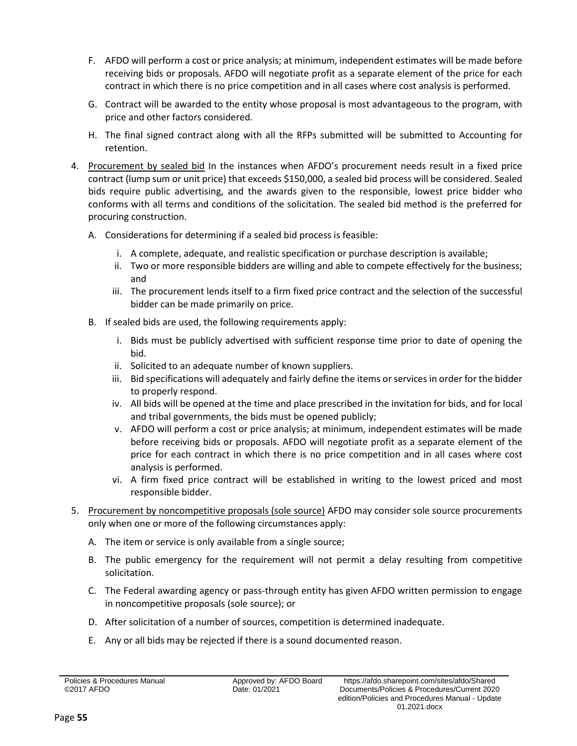- F. AFDO will perform a cost or price analysis; at minimum, independent estimates will be made before receiving bids or proposals. AFDO will negotiate profit as a separate element of the price for each contract in which there is no price competition and in all cases where cost analysis is performed.
- G. Contract will be awarded to the entity whose proposal is most advantageous to the program, with price and other factors considered.
- H. The final signed contract along with all the RFPs submitted will be submitted to Accounting for retention.
- 4. Procurement by sealed bid In the instances when AFDO's procurement needs result in a fixed price contract (lump sum or unit price) that exceeds \$150,000, a sealed bid process will be considered. Sealed bids require public advertising, and the awards given to the responsible, lowest price bidder who conforms with all terms and conditions of the solicitation. The sealed bid method is the preferred for procuring construction.
	- A. Considerations for determining if a sealed bid process is feasible:
		- i. A complete, adequate, and realistic specification or purchase description is available;
		- ii. Two or more responsible bidders are willing and able to compete effectively for the business; and
		- iii. The procurement lends itself to a firm fixed price contract and the selection of the successful bidder can be made primarily on price.
	- B. If sealed bids are used, the following requirements apply:
		- i. Bids must be publicly advertised with sufficient response time prior to date of opening the bid.
		- ii. Solicited to an adequate number of known suppliers.
		- iii. Bid specifications will adequately and fairly define the items or services in order for the bidder to properly respond.
		- iv. All bids will be opened at the time and place prescribed in the invitation for bids, and for local and tribal governments, the bids must be opened publicly;
		- v. AFDO will perform a cost or price analysis; at minimum, independent estimates will be made before receiving bids or proposals. AFDO will negotiate profit as a separate element of the price for each contract in which there is no price competition and in all cases where cost analysis is performed.
		- vi. A firm fixed price contract will be established in writing to the lowest priced and most responsible bidder.
- 5. Procurement by noncompetitive proposals (sole source) AFDO may consider sole source procurements only when one or more of the following circumstances apply:
	- A. The item or service is only available from a single source;
	- B. The public emergency for the requirement will not permit a delay resulting from competitive solicitation.
	- C. The Federal awarding agency or pass-through entity has given AFDO written permission to engage in noncompetitive proposals (sole source); or
	- D. After solicitation of a number of sources, competition is determined inadequate.
	- E. Any or all bids may be rejected if there is a sound documented reason.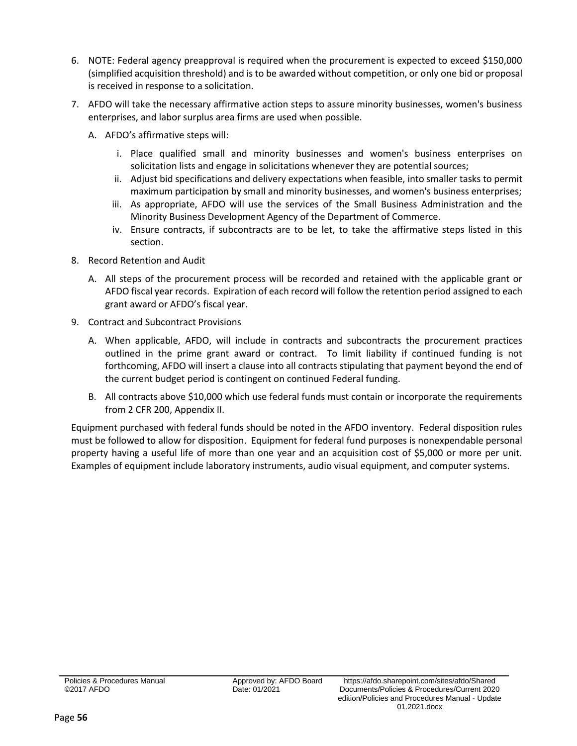- 6. NOTE: Federal agency preapproval is required when the procurement is expected to exceed \$150,000 (simplified acquisition threshold) and is to be awarded without competition, or only one bid or proposal is received in response to a solicitation.
- 7. AFDO will take the necessary affirmative action steps to assure minority businesses, women's business enterprises, and labor surplus area firms are used when possible.
	- A. AFDO's affirmative steps will:
		- i. Place qualified small and minority businesses and women's business enterprises on solicitation lists and engage in solicitations whenever they are potential sources;
		- ii. Adjust bid specifications and delivery expectations when feasible, into smaller tasks to permit maximum participation by small and minority businesses, and women's business enterprises;
		- iii. As appropriate, AFDO will use the services of the Small Business Administration and the Minority Business Development Agency of the Department of Commerce.
		- iv. Ensure contracts, if subcontracts are to be let, to take the affirmative steps listed in this section.
- 8. Record Retention and Audit
	- A. All steps of the procurement process will be recorded and retained with the applicable grant or AFDO fiscal year records. Expiration of each record will follow the retention period assigned to each grant award or AFDO's fiscal year.
- 9. Contract and Subcontract Provisions
	- A. When applicable, AFDO, will include in contracts and subcontracts the procurement practices outlined in the prime grant award or contract. To limit liability if continued funding is not forthcoming, AFDO will insert a clause into all contracts stipulating that payment beyond the end of the current budget period is contingent on continued Federal funding.
	- B. All contracts above \$10,000 which use federal funds must contain or incorporate the requirements from 2 CFR 200, Appendix II.

Equipment purchased with federal funds should be noted in the AFDO inventory. Federal disposition rules must be followed to allow for disposition. Equipment for federal fund purposes is nonexpendable personal property having a useful life of more than one year and an acquisition cost of \$5,000 or more per unit. Examples of equipment include laboratory instruments, audio visual equipment, and computer systems.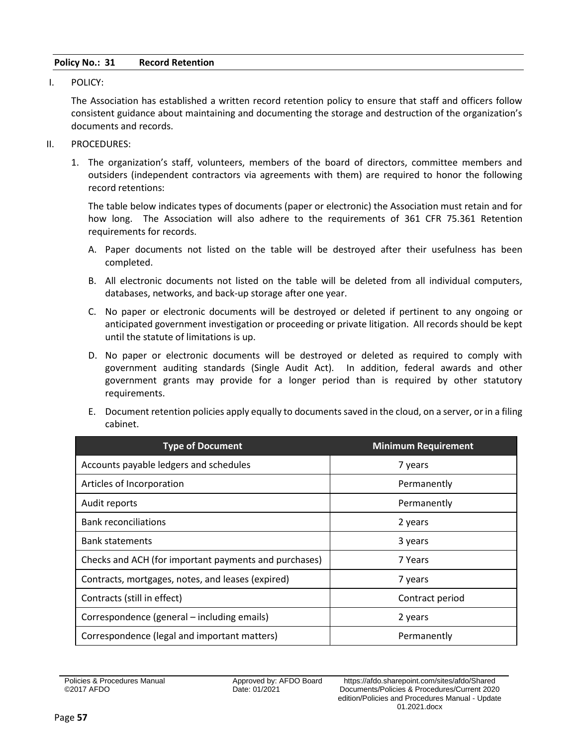# <span id="page-58-0"></span>**Policy No.: 31 Record Retention**

I. POLICY:

The Association has established a written record retention policy to ensure that staff and officers follow consistent guidance about maintaining and documenting the storage and destruction of the organization's documents and records.

- II. PROCEDURES:
	- 1. The organization's staff, volunteers, members of the board of directors, committee members and outsiders (independent contractors via agreements with them) are required to honor the following record retentions:

The table below indicates types of documents (paper or electronic) the Association must retain and for how long. The Association will also adhere to the requirements of 361 CFR 75.361 Retention requirements for records.

- A. Paper documents not listed on the table will be destroyed after their usefulness has been completed.
- B. All electronic documents not listed on the table will be deleted from all individual computers, databases, networks, and back-up storage after one year.
- C. No paper or electronic documents will be destroyed or deleted if pertinent to any ongoing or anticipated government investigation or proceeding or private litigation. All records should be kept until the statute of limitations is up.
- D. No paper or electronic documents will be destroyed or deleted as required to comply with government auditing standards (Single Audit Act). In addition, federal awards and other government grants may provide for a longer period than is required by other statutory requirements.
- E. Document retention policies apply equally to documents saved in the cloud, on a server, or in a filing cabinet.

| <b>Type of Document</b>                               | <b>Minimum Requirement</b> |
|-------------------------------------------------------|----------------------------|
| Accounts payable ledgers and schedules                | 7 years                    |
| Articles of Incorporation                             | Permanently                |
| Audit reports                                         | Permanently                |
| <b>Bank reconciliations</b>                           | 2 years                    |
| <b>Bank statements</b>                                | 3 years                    |
| Checks and ACH (for important payments and purchases) | 7 Years                    |
| Contracts, mortgages, notes, and leases (expired)     | 7 years                    |
| Contracts (still in effect)                           | Contract period            |
| Correspondence (general – including emails)           | 2 years                    |
| Correspondence (legal and important matters)          | Permanently                |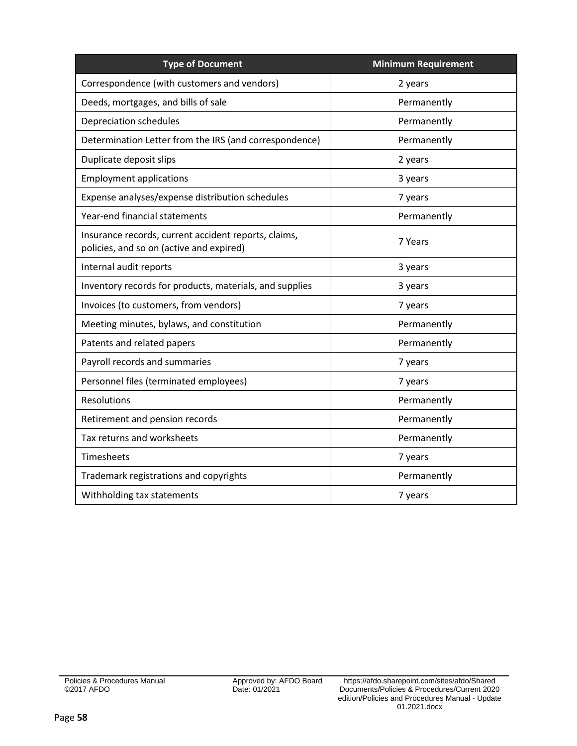| <b>Type of Document</b>                                                                          | <b>Minimum Requirement</b> |
|--------------------------------------------------------------------------------------------------|----------------------------|
| Correspondence (with customers and vendors)                                                      | 2 years                    |
| Deeds, mortgages, and bills of sale                                                              | Permanently                |
| Depreciation schedules                                                                           | Permanently                |
| Determination Letter from the IRS (and correspondence)                                           | Permanently                |
| Duplicate deposit slips                                                                          | 2 years                    |
| <b>Employment applications</b>                                                                   | 3 years                    |
| Expense analyses/expense distribution schedules                                                  | 7 years                    |
| Year-end financial statements                                                                    | Permanently                |
| Insurance records, current accident reports, claims,<br>policies, and so on (active and expired) | 7 Years                    |
| Internal audit reports                                                                           | 3 years                    |
| Inventory records for products, materials, and supplies                                          | 3 years                    |
| Invoices (to customers, from vendors)                                                            | 7 years                    |
| Meeting minutes, bylaws, and constitution                                                        | Permanently                |
| Patents and related papers                                                                       | Permanently                |
| Payroll records and summaries                                                                    | 7 years                    |
| Personnel files (terminated employees)                                                           | 7 years                    |
| Resolutions                                                                                      | Permanently                |
| Retirement and pension records                                                                   | Permanently                |
| Tax returns and worksheets                                                                       | Permanently                |
| Timesheets                                                                                       | 7 years                    |
| Trademark registrations and copyrights                                                           | Permanently                |
| Withholding tax statements                                                                       | 7 years                    |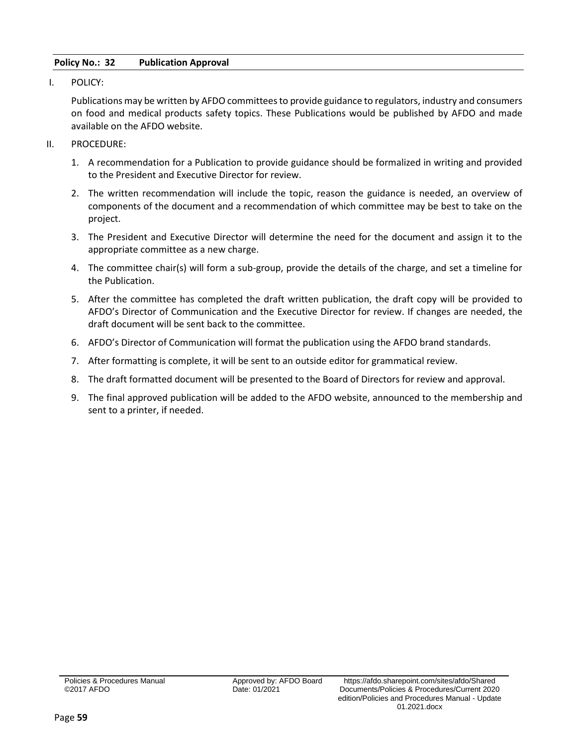# <span id="page-60-0"></span>**Policy No.: 32 Publication Approval**

I. POLICY:

Publications may be written by AFDO committees to provide guidance to regulators, industry and consumers on food and medical products safety topics. These Publications would be published by AFDO and made available on the AFDO website.

- II. PROCEDURE:
	- 1. A recommendation for a Publication to provide guidance should be formalized in writing and provided to the President and Executive Director for review.
	- 2. The written recommendation will include the topic, reason the guidance is needed, an overview of components of the document and a recommendation of which committee may be best to take on the project.
	- 3. The President and Executive Director will determine the need for the document and assign it to the appropriate committee as a new charge.
	- 4. The committee chair(s) will form a sub-group, provide the details of the charge, and set a timeline for the Publication.
	- 5. After the committee has completed the draft written publication, the draft copy will be provided to AFDO's Director of Communication and the Executive Director for review. If changes are needed, the draft document will be sent back to the committee.
	- 6. AFDO's Director of Communication will format the publication using the AFDO brand standards.
	- 7. After formatting is complete, it will be sent to an outside editor for grammatical review.
	- 8. The draft formatted document will be presented to the Board of Directors for review and approval.
	- 9. The final approved publication will be added to the AFDO website, announced to the membership and sent to a printer, if needed.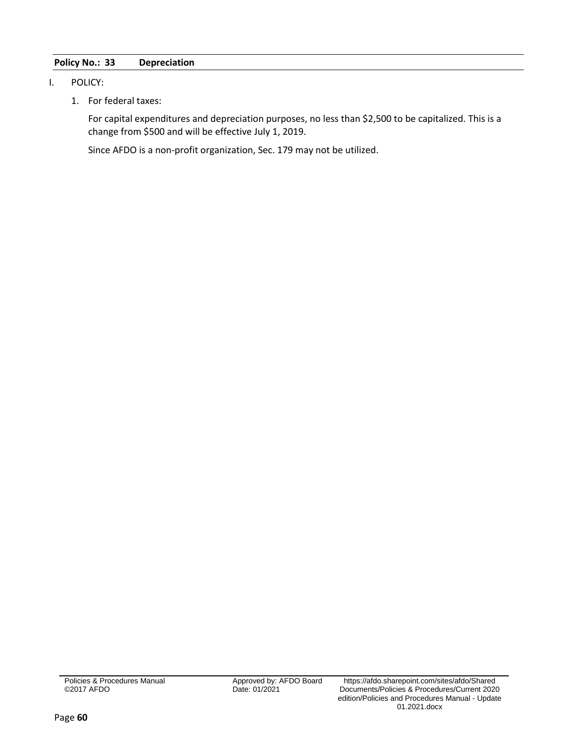# <span id="page-61-0"></span>**Policy No.: 33 Depreciation**

## I. POLICY:

1. For federal taxes:

For capital expenditures and depreciation purposes, no less than \$2,500 to be capitalized. This is a change from \$500 and will be effective July 1, 2019.

Since AFDO is a non-profit organization, Sec. 179 may not be utilized.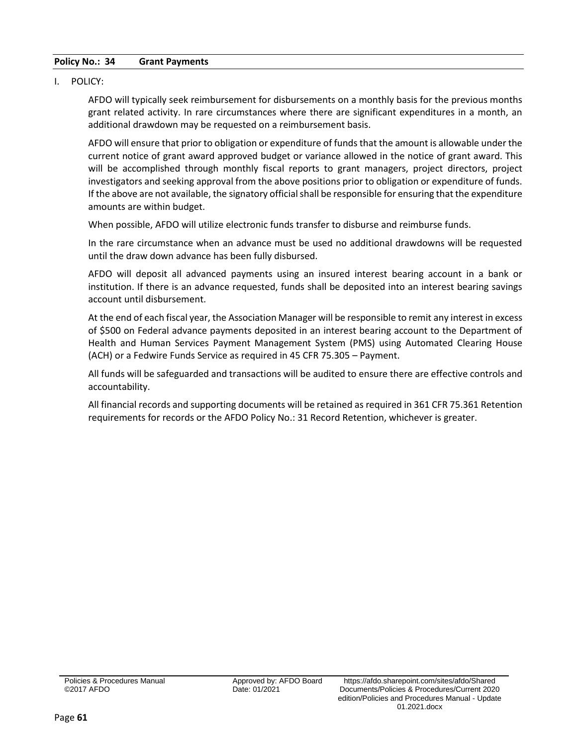# <span id="page-62-0"></span>**Policy No.: 34 Grant Payments**

#### I. POLICY:

AFDO will typically seek reimbursement for disbursements on a monthly basis for the previous months grant related activity. In rare circumstances where there are significant expenditures in a month, an additional drawdown may be requested on a reimbursement basis.

AFDO will ensure that prior to obligation or expenditure of funds that the amount is allowable under the current notice of grant award approved budget or variance allowed in the notice of grant award. This will be accomplished through monthly fiscal reports to grant managers, project directors, project investigators and seeking approval from the above positions prior to obligation or expenditure of funds. If the above are not available, the signatory official shall be responsible for ensuring that the expenditure amounts are within budget.

When possible, AFDO will utilize electronic funds transfer to disburse and reimburse funds.

In the rare circumstance when an advance must be used no additional drawdowns will be requested until the draw down advance has been fully disbursed.

AFDO will deposit all advanced payments using an insured interest bearing account in a bank or institution. If there is an advance requested, funds shall be deposited into an interest bearing savings account until disbursement.

At the end of each fiscal year, the Association Manager will be responsible to remit any interest in excess of \$500 on Federal advance payments deposited in an interest bearing account to the Department of Health and Human Services Payment Management System (PMS) using Automated Clearing House (ACH) or a Fedwire Funds Service as required in 45 CFR 75.305 – Payment.

All funds will be safeguarded and transactions will be audited to ensure there are effective controls and accountability.

All financial records and supporting documents will be retained as required in 361 CFR 75.361 Retention requirements for records or the AFDO Policy No.: 31 Record Retention, whichever is greater.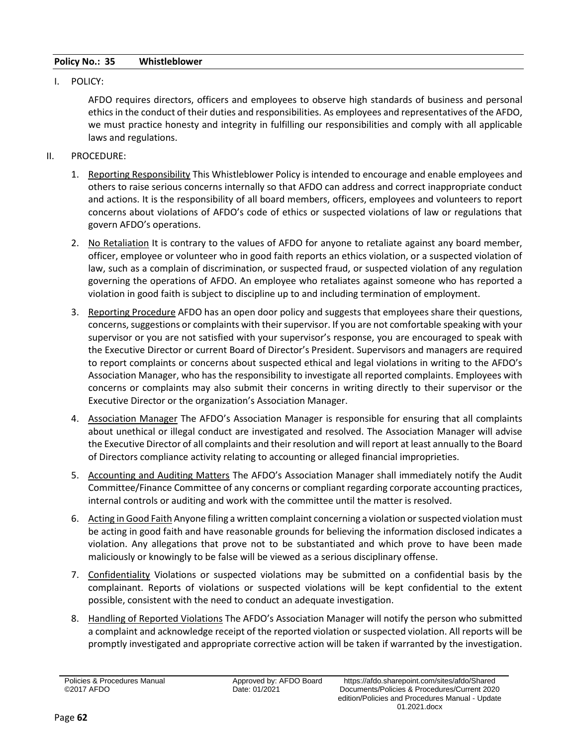# <span id="page-63-0"></span>**Policy No.: 35 Whistleblower**

I. POLICY:

AFDO requires directors, officers and employees to observe high standards of business and personal ethics in the conduct of their duties and responsibilities. As employees and representatives of the AFDO, we must practice honesty and integrity in fulfilling our responsibilities and comply with all applicable laws and regulations.

- II. PROCEDURE:
	- 1. Reporting Responsibility This Whistleblower Policy is intended to encourage and enable employees and others to raise serious concerns internally so that AFDO can address and correct inappropriate conduct and actions. It is the responsibility of all board members, officers, employees and volunteers to report concerns about violations of AFDO's code of ethics or suspected violations of law or regulations that govern AFDO's operations.
	- 2. No Retaliation It is contrary to the values of AFDO for anyone to retaliate against any board member, officer, employee or volunteer who in good faith reports an ethics violation, or a suspected violation of law, such as a complain of discrimination, or suspected fraud, or suspected violation of any regulation governing the operations of AFDO. An employee who retaliates against someone who has reported a violation in good faith is subject to discipline up to and including termination of employment.
	- 3. Reporting Procedure AFDO has an open door policy and suggests that employees share their questions, concerns, suggestions or complaints with their supervisor. If you are not comfortable speaking with your supervisor or you are not satisfied with your supervisor's response, you are encouraged to speak with the Executive Director or current Board of Director's President. Supervisors and managers are required to report complaints or concerns about suspected ethical and legal violations in writing to the AFDO's Association Manager, who has the responsibility to investigate all reported complaints. Employees with concerns or complaints may also submit their concerns in writing directly to their supervisor or the Executive Director or the organization's Association Manager.
	- 4. Association Manager The AFDO's Association Manager is responsible for ensuring that all complaints about unethical or illegal conduct are investigated and resolved. The Association Manager will advise the Executive Director of all complaints and their resolution and will report at least annually to the Board of Directors compliance activity relating to accounting or alleged financial improprieties.
	- 5. Accounting and Auditing Matters The AFDO's Association Manager shall immediately notify the Audit Committee/Finance Committee of any concerns or compliant regarding corporate accounting practices, internal controls or auditing and work with the committee until the matter is resolved.
	- 6. Acting in Good Faith Anyone filing a written complaint concerning a violation or suspected violation must be acting in good faith and have reasonable grounds for believing the information disclosed indicates a violation. Any allegations that prove not to be substantiated and which prove to have been made maliciously or knowingly to be false will be viewed as a serious disciplinary offense.
	- 7. Confidentiality Violations or suspected violations may be submitted on a confidential basis by the complainant. Reports of violations or suspected violations will be kept confidential to the extent possible, consistent with the need to conduct an adequate investigation.
	- 8. Handling of Reported Violations The AFDO's Association Manager will notify the person who submitted a complaint and acknowledge receipt of the reported violation or suspected violation. All reports will be promptly investigated and appropriate corrective action will be taken if warranted by the investigation.